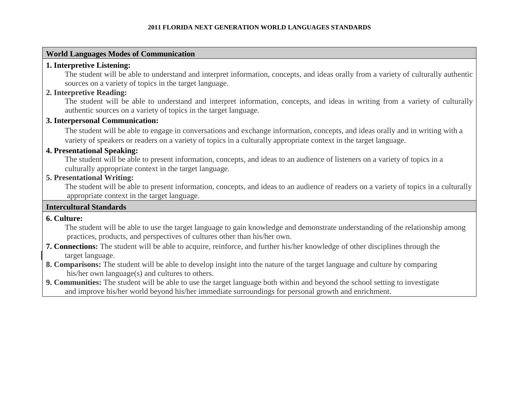# **World Languages Modes of Communication**

# **1. Interpretive Listening:**

The student will be able to understand and interpret information, concepts, and ideas orally from a variety of culturally authentic sources on a variety of topics in the target language.

# **2. Interpretive Reading:**

The student will be able to understand and interpret information, concepts, and ideas in writing from a variety of culturally authentic sources on a variety of topics in the target language.

# **3. Interpersonal Communication:**

The student will be able to engage in conversations and exchange information, concepts, and ideas orally and in writing with a variety of speakers or readers on a variety of topics in a culturally appropriate context in the target language.

# **4. Presentational Speaking:**

The student will be able to present information, concepts, and ideas to an audience of listeners on a variety of topics in a culturally appropriate context in the target language.

# **5. Presentational Writing:**

The student will be able to present information, concepts, and ideas to an audience of readers on a variety of topics in a culturally appropriate context in the target language.

# **Intercultural Standards**

# **6. Culture:**

The student will be able to use the target language to gain knowledge and demonstrate understanding of the relationship among practices, products, and perspectives of cultures other than his/her own.

- **7. Connections:** The student will be able to acquire, reinforce, and further his/her knowledge of other disciplines through the target language.
- **8. Comparisons:** The student will be able to develop insight into the nature of the target language and culture by comparing his/her own language(s) and cultures to others.
- **9. Communities:** The student will be able to use the target language both within and beyond the school setting to investigate and improve his/her world beyond his/her immediate surroundings for personal growth and enrichment.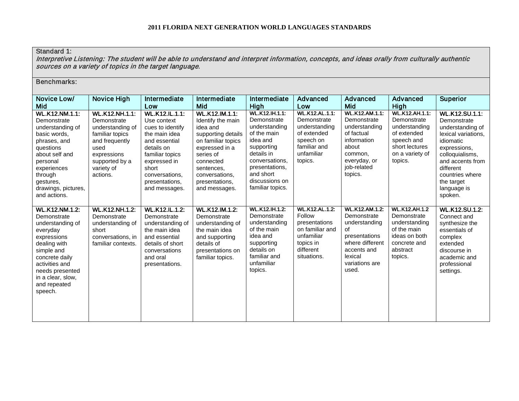# Standard 1:

Interpretive Listening: The student will be able to understand and interpret information, concepts, and ideas orally from culturally authentic sources on a variety of topics in the target language.

| Novice Low/<br>Mid                                                                                                                                                                                                       | Novice High                                                                                                                                                      | Intermediate<br>Low                                                                                                                                                                                | Intermediate<br>Mid                                                                                                                                                                                        | Intermediate<br>High                                                                                                                                                                                | Advanced<br>Low                                                                                                            | Advanced<br>Mid                                                                                                                                      | Advanced<br><b>High</b>                                                                                                            | <b>Superior</b>                                                                                                                                                                                                      |
|--------------------------------------------------------------------------------------------------------------------------------------------------------------------------------------------------------------------------|------------------------------------------------------------------------------------------------------------------------------------------------------------------|----------------------------------------------------------------------------------------------------------------------------------------------------------------------------------------------------|------------------------------------------------------------------------------------------------------------------------------------------------------------------------------------------------------------|-----------------------------------------------------------------------------------------------------------------------------------------------------------------------------------------------------|----------------------------------------------------------------------------------------------------------------------------|------------------------------------------------------------------------------------------------------------------------------------------------------|------------------------------------------------------------------------------------------------------------------------------------|----------------------------------------------------------------------------------------------------------------------------------------------------------------------------------------------------------------------|
| <b>WL.K12.NM.1.1:</b><br>Demonstrate<br>understanding of<br>basic words,<br>phrases, and<br>questions<br>about self and<br>personal<br>experiences<br>through<br>gestures,<br>drawings, pictures,<br>and actions.        | <b>WL.K12.NH.1.1:</b><br>Demonstrate<br>understanding of<br>familiar topics<br>and frequently<br>used<br>expressions<br>supported by a<br>variety of<br>actions. | WL.K12.IL.1.1:<br>Use context<br>cues to identify<br>the main idea<br>and essential<br>details on<br>familiar topics<br>expressed in<br>short<br>conversations,<br>presentations,<br>and messages. | WL.K12.IM.1.1:<br>Identify the main<br>idea and<br>supporting details<br>on familiar topics<br>expressed in a<br>series of<br>connected<br>sentences,<br>conversations,<br>presentations,<br>and messages. | <b>WL.K12.IH.1.1:</b><br>Demonstrate<br>understanding<br>of the main<br>idea and<br>supporting<br>details in<br>conversations,<br>presentations,<br>and short<br>discussions on<br>familiar topics. | <b>WL.K12.AL.1.1:</b><br>Demonstrate<br>understanding<br>of extended<br>speech on<br>familiar and<br>unfamiliar<br>topics. | <b>WL.K12.AM.1.1:</b><br>Demonstrate<br>understanding<br>of factual<br>information<br>about<br>common,<br>everyday, or<br>job-related<br>topics.     | <b>WL.K12.AH.1.1:</b><br>Demonstrate<br>understanding<br>of extended<br>speech and<br>short lectures<br>on a variety of<br>topics. | WL.K12.SU.1.1:<br>Demonstrate<br>understanding of<br>lexical variations,<br>idiomatic<br>expressions,<br>colloquialisms,<br>and accents from<br>different<br>countries where<br>the target<br>language is<br>spoken. |
| <b>WL.K12.NM.1.2:</b><br>Demonstrate<br>understanding of<br>everyday<br>expressions<br>dealing with<br>simple and<br>concrete daily<br>activities and<br>needs presented<br>in a clear, slow,<br>and repeated<br>speech. | <b>WL.K12.NH.1.2:</b><br>Demonstrate<br>understanding of<br>short<br>conversations, in<br>familiar contexts.                                                     | <b>WL.K12.IL.1.2:</b><br>Demonstrate<br>understanding of<br>the main idea<br>and essential<br>details of short<br>conversations<br>and oral<br>presentations.                                      | <b>WL.K12.IM.1.2:</b><br>Demonstrate<br>understanding of<br>the main idea<br>and supporting<br>details of<br>presentations on<br>familiar topics.                                                          | <b>WL.K12.IH.1.2:</b><br>Demonstrate<br>understanding<br>of the main<br>idea and<br>supporting<br>details on<br>familiar and<br>unfamiliar<br>topics.                                               | <b>WL.K12.AL.1.2:</b><br>Follow<br>presentations<br>on familiar and<br>unfamiliar<br>topics in<br>different<br>situations. | <b>WL.K12.AM.1.2:</b><br>Demonstrate<br>understanding<br>of<br>presentations<br>where different<br>accents and<br>lexical<br>variations are<br>used. | <b>WL.K12.AH.1.2</b><br>Demonstrate<br>understanding<br>of the main<br>ideas on both<br>concrete and<br>abstract<br>topics.        | <b>WL.K12.SU.1.2:</b><br>Connect and<br>synthesize the<br>essentials of<br>complex<br>extended<br>discourse in<br>academic and<br>professional<br>settings.                                                          |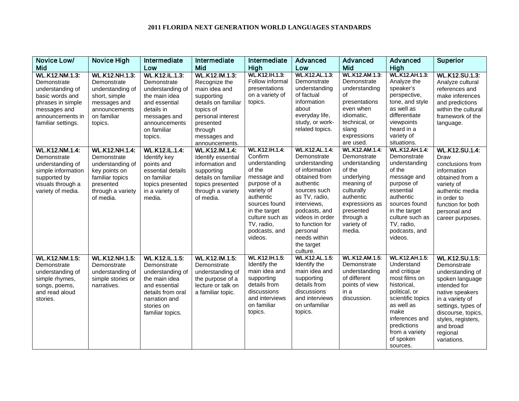| Novice Low/                                                                                                                                         | <b>Novice High</b>                                                                                                                          | Intermediate                                                                                                                                                        | Intermediate                                                                                                                                                                      | Intermediate                                                                                                                                                                                                         | Advanced                                                                                                                                                                                                                                                           | Advanced                                                                                                                                                                                   | Advanced                                                                                                                                                                                                                    | <b>Superior</b>                                                                                                                                                                                                                             |
|-----------------------------------------------------------------------------------------------------------------------------------------------------|---------------------------------------------------------------------------------------------------------------------------------------------|---------------------------------------------------------------------------------------------------------------------------------------------------------------------|-----------------------------------------------------------------------------------------------------------------------------------------------------------------------------------|----------------------------------------------------------------------------------------------------------------------------------------------------------------------------------------------------------------------|--------------------------------------------------------------------------------------------------------------------------------------------------------------------------------------------------------------------------------------------------------------------|--------------------------------------------------------------------------------------------------------------------------------------------------------------------------------------------|-----------------------------------------------------------------------------------------------------------------------------------------------------------------------------------------------------------------------------|---------------------------------------------------------------------------------------------------------------------------------------------------------------------------------------------------------------------------------------------|
| Mid                                                                                                                                                 |                                                                                                                                             | Low                                                                                                                                                                 | Mid                                                                                                                                                                               | High                                                                                                                                                                                                                 | Low                                                                                                                                                                                                                                                                | <b>Mid</b>                                                                                                                                                                                 | <b>High</b>                                                                                                                                                                                                                 |                                                                                                                                                                                                                                             |
| WL.K12.NM.1.3:<br>Demonstrate<br>understanding of<br>basic words and<br>phrases in simple<br>messages and<br>announcements in<br>familiar settings. | <b>WL.K12.NH.1.3:</b><br>Demonstrate<br>understanding of<br>short, simple<br>messages and<br>announcements<br>on familiar<br>topics.        | <b>WL.K12.IL.1.3:</b><br>Demonstrate<br>understanding of<br>the main idea<br>and essential<br>details in<br>messages and<br>announcements<br>on familiar<br>topics. | WL.K12.IM.1.3:<br>Recognize the<br>main idea and<br>supporting<br>details on familiar<br>topics of<br>personal interest<br>presented<br>through<br>messages and<br>announcements. | <b>WL.K12.IH.1.3:</b><br>Follow informal<br>presentations<br>on a variety of<br>topics.                                                                                                                              | WL.K12.AL.1.3:<br>Demonstrate<br>understanding<br>of factual<br>information<br>about<br>everyday life,<br>study, or work-<br>related topics.                                                                                                                       | WL.K12.AM.1.3:<br>Demonstrate<br>understanding<br>of<br>presentations<br>even when<br>idiomatic,<br>technical, or<br>slang<br>expressions<br>are used.                                     | <b>WL.K12.AH.1.3:</b><br>Analyze the<br>speaker's<br>perspective,<br>tone, and style<br>as well as<br>differentiate<br>viewpoints<br>heard in a<br>variety of<br>situations.                                                | WL.K12.SU.1.3:<br>Analyze cultural<br>references and<br>make inferences<br>and predictions<br>within the cultural<br>framework of the<br>language.                                                                                          |
| <b>WL.K12.NM.1.4:</b><br>Demonstrate<br>understanding of<br>simple information<br>supported by<br>visuals through a<br>variety of media.            | <b>WL.K12.NH.1.4:</b><br>Demonstrate<br>understanding of<br>key points on<br>familiar topics<br>presented<br>through a variety<br>of media. | <b>WL.K12.IL.1.4:</b><br>Identify key<br>points and<br>essential details<br>on familiar<br>topics presented<br>in a variety of<br>media.                            | WL.K12.IM.1.4:<br>Identify essential<br>information and<br>supporting<br>details on familiar<br>topics presented<br>through a variety<br>of media.                                | <b>WL.K12.IH.1.4:</b><br>Confirm<br>understanding<br>of the<br>message and<br>purpose of a<br>variety of<br>authentic<br>sources found<br>in the target<br>culture such as<br>TV, radio,<br>podcasts, and<br>videos. | <b>WL.K12.AL.1.4.</b><br>Demonstrate<br>understanding<br>of information<br>obtained from<br>authentic<br>sources such<br>as TV, radio,<br>interviews,<br>podcasts, and<br>videos in order<br>to function for<br>personal<br>needs within<br>the target<br>culture. | <b>WL.K12.AM.1.4:</b><br>Demonstrate<br>understanding<br>of the<br>underlying<br>meaning of<br>culturally<br>authentic<br>expressions as<br>presented<br>through a<br>variety of<br>media. | <b>WL.K12.AH.1.4:</b><br>Demonstrate<br>understanding<br>of the<br>message and<br>purpose of<br>essential<br>authentic<br>sources found<br>in the target<br>culture such as<br>TV, radio,<br>podcasts, and<br>videos.       | <b>WL.K12.SU.1.4:</b><br>Draw<br>conclusions from<br>information<br>obtained from a<br>variety of<br>authentic media<br>in order to<br>function for both<br>personal and<br>career purposes.                                                |
| WL.K12.NM.1.5:<br>Demonstrate<br>understanding of<br>simple rhymes,<br>songs, poems,<br>and read aloud<br>stories.                                  | <b>WL.K12.NH.1.5:</b><br>Demonstrate<br>understanding of<br>simple stories or<br>narratives.                                                | <b>WL.K12.IL.1.5:</b><br>Demonstrate<br>understanding of<br>the main idea<br>and essential<br>details from oral<br>narration and<br>stories on<br>familiar topics.  | WL.K12.IM.1.5:<br>Demonstrate<br>understanding of<br>the purpose of a<br>lecture or talk on<br>a familiar topic.                                                                  | WL.K12.IH.1.5:<br>Identify the<br>main idea and<br>supporting<br>details from<br>discussions<br>and interviews<br>on familiar<br>topics.                                                                             | WL.K12.AL.1.5:<br>Identify the<br>main idea and<br>supporting<br>details from<br>discussions<br>and interviews<br>on unfamiliar<br>topics.                                                                                                                         | WL.K12.AM.1.5:<br>Demonstrate<br>understanding<br>of different<br>points of view<br>in a<br>discussion.                                                                                    | <b>WL.K12.AH.1.5:</b><br>Understand<br>and critique<br>most films on<br>historical,<br>political, or<br>scientific topics<br>as well as<br>make<br>inferences and<br>predictions<br>from a variety<br>of spoken<br>sources. | <b>WL.K12.SU.1.5:</b><br>Demonstrate<br>understanding of<br>spoken language<br>intended for<br>native speakers<br>in a variety of<br>settings, types of<br>discourse, topics,<br>styles, registers,<br>and broad<br>regional<br>variations. |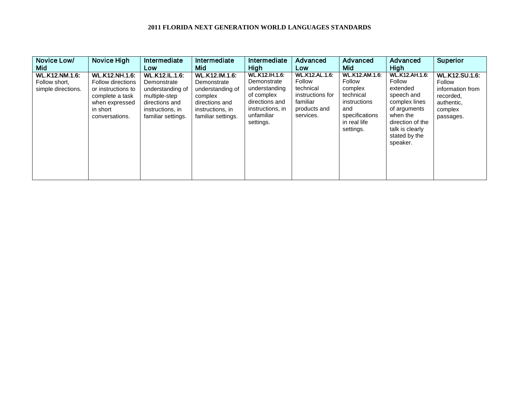| Novice Low/                                                  | Novice High                                                                                                                                | Intermediate                                                                                                                          | Intermediate                                                                                                                    | Intermediate                                                                                                                         | Advanced                                                                                                  | Advanced                                                                                                                      | Advanced                                                                                                                                                                   | <b>Superior</b>                                                                                        |
|--------------------------------------------------------------|--------------------------------------------------------------------------------------------------------------------------------------------|---------------------------------------------------------------------------------------------------------------------------------------|---------------------------------------------------------------------------------------------------------------------------------|--------------------------------------------------------------------------------------------------------------------------------------|-----------------------------------------------------------------------------------------------------------|-------------------------------------------------------------------------------------------------------------------------------|----------------------------------------------------------------------------------------------------------------------------------------------------------------------------|--------------------------------------------------------------------------------------------------------|
| Mid .                                                        |                                                                                                                                            | Low                                                                                                                                   | Mid                                                                                                                             | High                                                                                                                                 | Low                                                                                                       | <b>Mid</b>                                                                                                                    | <b>High</b>                                                                                                                                                                |                                                                                                        |
| <b>WL.K12.NM.1.6:</b><br>Follow short,<br>simple directions. | <b>WL.K12.NH.1.6:</b><br><b>Follow directions</b><br>or instructions to<br>complete a task<br>when expressed<br>in short<br>conversations. | <b>WL.K12.IL.1.6:</b><br>Demonstrate<br>understanding of<br>multiple-step<br>directions and<br>instructions, in<br>familiar settings. | <b>WL.K12.IM.1.6:</b><br>Demonstrate<br>understanding of<br>complex<br>directions and<br>instructions, in<br>familiar settings. | <b>WL.K12.IH.1.6:</b><br>Demonstrate<br>understanding<br>of complex<br>directions and<br>instructions, in<br>unfamiliar<br>settings. | <b>WL.K12.AL.1.6:</b><br>Follow<br>technical<br>instructions for<br>familiar<br>products and<br>services. | <b>WL.K12.AM.1.6:</b><br>Follow<br>complex<br>technical<br>instructions<br>and<br>specifications<br>in real life<br>settings. | <b>WL.K12.AH.1.6:</b><br>Follow<br>extended<br>speech and<br>complex lines<br>of arguments<br>when the<br>direction of the<br>talk is clearly<br>stated by the<br>speaker. | <b>WL.K12.SU.1.6:</b><br>Follow<br>information from<br>recorded,<br>authentic,<br>complex<br>passages. |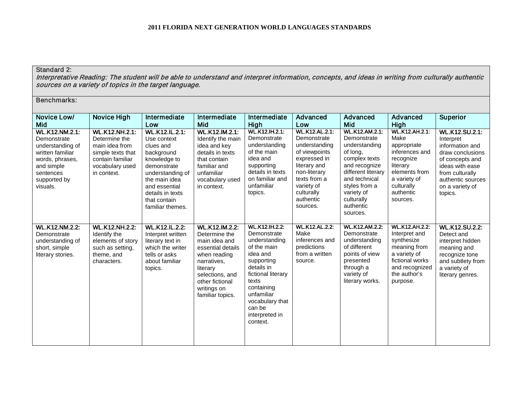### Standard 2:

Interpretative Reading: The student will be able to understand and interpret information, concepts, and ideas in writing from culturally authentic sources on a variety of topics in the target language.

| Novice Low/<br>Mid                                                                                                                                     | Novice High                                                                                                                         | Intermediate<br>Low                                                                                                                                                                                          | Intermediate<br>Mid                                                                                                                                                                              | Intermediate<br>High                                                                                                                                                                                                               | Advanced<br>Low                                                                                                                                                                             | Advanced<br>Mid                                                                                                                                                                                                  | Advanced<br>High                                                                                                                                                | <b>Superior</b>                                                                                                                                                                       |
|--------------------------------------------------------------------------------------------------------------------------------------------------------|-------------------------------------------------------------------------------------------------------------------------------------|--------------------------------------------------------------------------------------------------------------------------------------------------------------------------------------------------------------|--------------------------------------------------------------------------------------------------------------------------------------------------------------------------------------------------|------------------------------------------------------------------------------------------------------------------------------------------------------------------------------------------------------------------------------------|---------------------------------------------------------------------------------------------------------------------------------------------------------------------------------------------|------------------------------------------------------------------------------------------------------------------------------------------------------------------------------------------------------------------|-----------------------------------------------------------------------------------------------------------------------------------------------------------------|---------------------------------------------------------------------------------------------------------------------------------------------------------------------------------------|
| <b>WL.K12.NM.2.1:</b><br>Demonstrate<br>understanding of<br>written familiar<br>words, phrases,<br>and simple<br>sentences<br>supported by<br>visuals. | <b>WL.K12.NH.2.1:</b><br>Determine the<br>main idea from<br>simple texts that<br>contain familiar<br>vocabulary used<br>in context. | <b>WL.K12.IL.2.1:</b><br>Use context<br>clues and<br>background<br>knowledge to<br>demonstrate<br>understanding of<br>the main idea<br>and essential<br>details in texts<br>that contain<br>familiar themes. | WL.K12.IM.2.1:<br>Identify the main<br>idea and key<br>details in texts<br>that contain<br>familiar and<br>unfamiliar<br>vocabulary used<br>in context.                                          | <b>WL.K12.IH.2.1:</b><br>Demonstrate<br>understanding<br>of the main<br>idea and<br>supporting<br>details in texts<br>on familiar and<br>unfamiliar<br>topics.                                                                     | <b>WL.K12.AL.2.1:</b><br>Demonstrate<br>understanding<br>of viewpoints<br>expressed in<br>literary and<br>non-literary<br>texts from a<br>variety of<br>culturally<br>authentic<br>sources. | <b>WL.K12.AM.2.1:</b><br>Demonstrate<br>understanding<br>of long,<br>complex texts<br>and recognize<br>different literary<br>and technical<br>styles from a<br>variety of<br>culturally<br>authentic<br>sources. | <b>WL.K12.AH.2.1:</b><br>Make<br>appropriate<br>inferences and<br>recognize<br>literary<br>elements from<br>a variety of<br>culturally<br>authentic<br>sources. | <b>WL.K12.SU.2.1:</b><br>Interpret<br>information and<br>draw conclusions<br>of concepts and<br>ideas with ease<br>from culturally<br>authentic sources<br>on a variety of<br>topics. |
| <b>WL.K12.NM.2.2:</b><br>Demonstrate<br>understanding of<br>short, simple<br>literary stories.                                                         | <b>WL.K12.NH.2.2:</b><br>Identify the<br>elements of story<br>such as setting,<br>theme, and<br>characters.                         | <b>WL.K12.IL.2.2:</b><br>Interpret written<br>literary text in<br>which the writer<br>tells or asks<br>about familiar<br>topics.                                                                             | <b>WL.K12.IM.2.2:</b><br>Determine the<br>main idea and<br>essential details<br>when reading<br>narratives,<br>literary<br>selections, and<br>other fictional<br>writings on<br>familiar topics. | <b>WL.K12.IH.2.2:</b><br>Demonstrate<br>understanding<br>of the main<br>idea and<br>supporting<br>details in<br>fictional literary<br>texts<br>containing<br>unfamiliar<br>vocabulary that<br>can be<br>interpreted in<br>context. | <b>WL.K12.AL.2.2:</b><br>Make<br>inferences and<br>predictions<br>from a written<br>source.                                                                                                 | <b>WL.K12.AM.2.2:</b><br>Demonstrate<br>understanding<br>of different<br>points of view<br>presented<br>through a<br>variety of<br>literary works.                                                               | <b>WL.K12.AH.2.2:</b><br>Interpret and<br>synthesize<br>meaning from<br>a variety of<br>fictional works<br>and recognized<br>the author's<br>purpose.           | <b>WL.K12.SU.2.2:</b><br>Detect and<br>interpret hidden<br>meaning and<br>recognize tone<br>and subtlety from<br>a variety of<br>literary genres.                                     |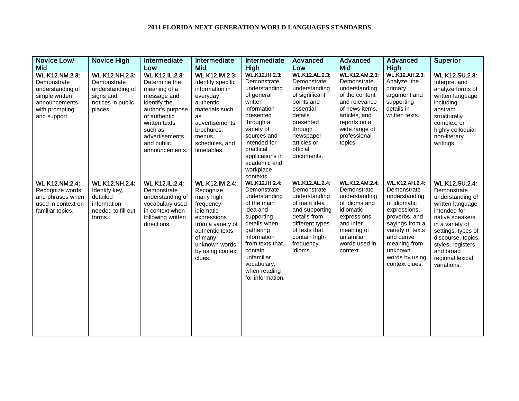| Novice Low/                                                                                                                   | <b>Novice High</b>                                                                                    | Intermediate                                                                                                                                                                                            | Intermediate                                                                                                                                                                        | Intermediate                                                                                                                                                                                                                                   | Advanced                                                                                                                                                                                    | Advanced                                                                                                                                                                               | Advanced                                                                                                                                                                                                                  | <b>Superior</b>                                                                                                                                                                                                                               |
|-------------------------------------------------------------------------------------------------------------------------------|-------------------------------------------------------------------------------------------------------|---------------------------------------------------------------------------------------------------------------------------------------------------------------------------------------------------------|-------------------------------------------------------------------------------------------------------------------------------------------------------------------------------------|------------------------------------------------------------------------------------------------------------------------------------------------------------------------------------------------------------------------------------------------|---------------------------------------------------------------------------------------------------------------------------------------------------------------------------------------------|----------------------------------------------------------------------------------------------------------------------------------------------------------------------------------------|---------------------------------------------------------------------------------------------------------------------------------------------------------------------------------------------------------------------------|-----------------------------------------------------------------------------------------------------------------------------------------------------------------------------------------------------------------------------------------------|
| Mid                                                                                                                           |                                                                                                       | Low                                                                                                                                                                                                     | <b>Mid</b>                                                                                                                                                                          | High                                                                                                                                                                                                                                           | Low                                                                                                                                                                                         | Mid                                                                                                                                                                                    | High                                                                                                                                                                                                                      |                                                                                                                                                                                                                                               |
| <b>WL.K12.NM.2.3:</b><br>Demonstrate<br>understanding of<br>simple written<br>announcements<br>with prompting<br>and support. | <b>WL.K12.NH.2.3:</b><br>Demonstrate<br>understanding of<br>signs and<br>notices in public<br>places. | <b>WL.K12.IL.2.3:</b><br>Determine the<br>meaning of a<br>message and<br>identify the<br>author's purpose<br>of authentic<br>written texts<br>such as<br>advertisements<br>and public<br>announcements. | WL.K12.IM.2.3:<br>Identify specific<br>information in<br>everyday<br>authentic<br>materials such<br>as<br>advertisements,<br>brochures.<br>menus,<br>schedules, and<br>timetables.  | <b>WL.K12.IH.2.3:</b><br>Demonstrate<br>understanding<br>of general<br>written<br>information<br>presented<br>through a<br>variety of<br>sources and<br>intended for<br>practical<br>applications in<br>academic and<br>workplace<br>contexts. | <b>WL.K12.AL.2.3:</b><br>Demonstrate<br>understanding<br>of significant<br>points and<br>essential<br>details<br>presented<br>through<br>newspaper<br>articles or<br>official<br>documents. | <b>WL.K12.AM.2.3</b><br>Demonstrate<br>understanding<br>of the content<br>and relevance<br>of news items,<br>articles, and<br>reports on a<br>wide range of<br>professional<br>topics. | <b>WL.K12.AH.2.3.</b><br>Analyze the<br>primary<br>argument and<br>supporting<br>details in<br>written texts.                                                                                                             | <b>WL.K12.SU.2.3:</b><br>Interpret and<br>analyze forms of<br>written language<br>including<br>abstract,<br>structurally<br>complex, or<br>highly colloquial<br>non-literary<br>writings.                                                     |
| <b>WL.K12.NM.2.4:</b><br>Recognize words<br>and phrases when<br>used in context on<br>familiar topics.                        | <b>WL.K12.NH.2.4:</b><br>Identify key,<br>detailed<br>information<br>needed to fill out<br>forms.     | <b>WL.K12.IL.2.4:</b><br>Demonstrate<br>understanding of<br>vocabulary used<br>in context when<br>following written<br>directions.                                                                      | WL.K12.IM.2.4:<br>Recognize<br>many high<br>frequency<br>idiomatic<br>expressions<br>from a variety of<br>authentic texts<br>of many<br>unknown words<br>by using context<br>clues. | <b>WL.K12.IH.2.4:</b><br>Demonstrate<br>understanding<br>of the main<br>idea and<br>supporting<br>details when<br>gathering<br>information<br>from texts that<br>contain<br>unfamiliar<br>vocabulary,<br>when reading<br>for information.      | <b>WL.K12.AL.2.4:</b><br>Demonstrate<br>understanding<br>of main idea<br>and supporting<br>details from<br>different types<br>of texts that<br>contain high-<br>frequency<br>idioms.        | <b>WL.K12.AM.2.4</b><br>Demonstrate<br>understanding<br>of idioms and<br>idiomatic<br>expressions,<br>and infer<br>meaning of<br>unfamiliar<br>words used in<br>context.               | <b>WL.K12.AH.2.4:</b><br>Demonstrate<br>understanding<br>of idiomatic<br>expressions,<br>proverbs, and<br>sayings from a<br>variety of texts<br>and derive<br>meaning from<br>unknown<br>words by using<br>context clues. | WL.K12.SU.2.4:<br>Demonstrate<br>understanding of<br>written language<br>intended for<br>native speakers<br>in a variety of<br>settings, types of<br>discourse, topics,<br>styles, registers,<br>and broad<br>regional lexical<br>variations. |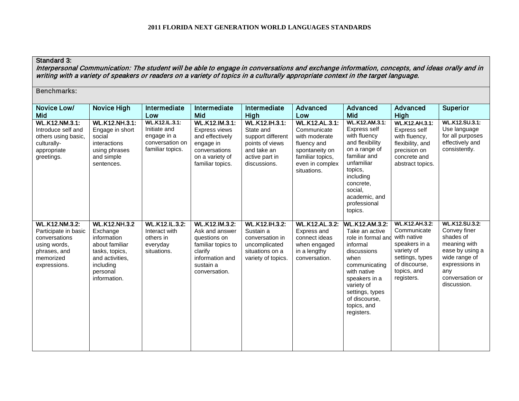# Standard 3:

Interpersonal Communication: The student will be able to engage in conversations and exchange information, concepts, and ideas orally and in writing with a variety of speakers or readers on a variety of topics in a culturally appropriate context in the target language.

| <b>Benchmarks:</b>                                                                                                          |                                                                                                                                                 |                                                                                             |                                                                                                                                           |                                                                                                                             |                                                                                                                                              |                                                                                                                                                                                                                                  |                                                                                                                                                     |                                                                                                                                                                   |
|-----------------------------------------------------------------------------------------------------------------------------|-------------------------------------------------------------------------------------------------------------------------------------------------|---------------------------------------------------------------------------------------------|-------------------------------------------------------------------------------------------------------------------------------------------|-----------------------------------------------------------------------------------------------------------------------------|----------------------------------------------------------------------------------------------------------------------------------------------|----------------------------------------------------------------------------------------------------------------------------------------------------------------------------------------------------------------------------------|-----------------------------------------------------------------------------------------------------------------------------------------------------|-------------------------------------------------------------------------------------------------------------------------------------------------------------------|
| Novice Low/<br>Mid                                                                                                          | <b>Novice High</b>                                                                                                                              | Intermediate<br>Low                                                                         | Intermediate<br><b>Mid</b>                                                                                                                | Intermediate<br>High                                                                                                        | Advanced<br>Low                                                                                                                              | Advanced<br>Mid                                                                                                                                                                                                                  | Advanced<br>High                                                                                                                                    | <b>Superior</b>                                                                                                                                                   |
| <b>WL.K12.NM.3.1:</b><br>Introduce self and<br>others using basic,<br>culturally-<br>appropriate<br>greetings.              | <b>WL.K12.NH.3.1:</b><br>Engage in short<br>social<br>interactions<br>using phrases<br>and simple<br>sentences.                                 | <b>WL.K12.IL.3.1:</b><br>Initiate and<br>engage in a<br>conversation on<br>familiar topics. | WL.K12.IM.3.1:<br>Express views<br>and effectively<br>engage in<br>conversations<br>on a variety of<br>familiar topics.                   | <b>WL.K12.IH.3.1:</b><br>State and<br>support different<br>points of views<br>and take an<br>active part in<br>discussions. | <b>WL.K12.AL.3.1:</b><br>Communicate<br>with moderate<br>fluency and<br>spontaneity on<br>familiar topics,<br>even in complex<br>situations. | <b>WL.K12.AM.3.1:</b><br>Express self<br>with fluency<br>and flexibility<br>on a range of<br>familiar and<br>unfamiliar<br>topics.<br>including<br>concrete,<br>social,<br>academic, and<br>professional<br>topics.              | WL.K12.AH.3.1:<br>Express self<br>with fluency,<br>flexibility, and<br>precision on<br>concrete and<br>abstract topics.                             | <b>WL.K12.SU.3.1:</b><br>Use language<br>for all purposes<br>effectively and<br>consistently.                                                                     |
| <b>WL.K12.NM.3.2:</b><br>Participate in basic<br>conversations<br>using words,<br>phrases, and<br>memorized<br>expressions. | <b>WL.K12.NH.3.2</b><br>Exchange<br>information<br>about familiar<br>tasks, topics,<br>and activities.<br>including<br>personal<br>information. | <b>WL.K12.IL.3.2:</b><br>Interact with<br>others in<br>everyday<br>situations.              | <b>WL.K12.IM.3.2:</b><br>Ask and answer<br>questions on<br>familiar topics to<br>clarify<br>information and<br>sustain a<br>conversation. | <b>WL.K12.IH.3.2:</b><br>Sustain a<br>conversation in<br>uncomplicated<br>situations on a<br>variety of topics.             | <b>WL.K12.AL.3.2:</b><br>Express and<br>connect ideas<br>when engaged<br>in a lengthy<br>conversation.                                       | <b>WL.K12.AM.3.2:</b><br>Take an active<br>role in formal and<br>informal<br>discussions<br>when<br>communicating<br>with native<br>speakers in a<br>variety of<br>settings, types<br>of discourse.<br>topics, and<br>registers. | <b>WL.K12.AH.3.2:</b><br>Communicate<br>with native<br>speakers in a<br>variety of<br>settings, types<br>of discourse,<br>topics, and<br>registers. | <b>WL.K12.SU.3.2:</b><br>Convey finer<br>shades of<br>meaning with<br>ease by using a<br>wide range of<br>expressions in<br>any<br>conversation or<br>discussion. |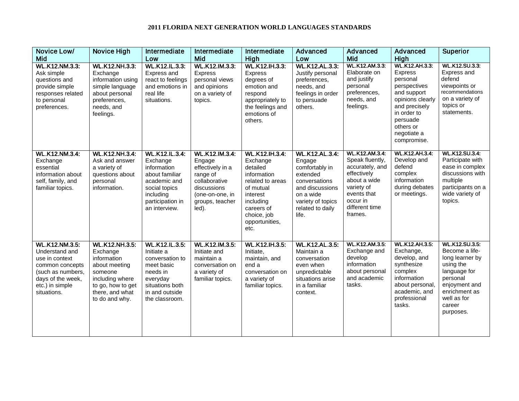| Novice Low/<br>Mid                                                                                                                                       | <b>Novice High</b>                                                                                                                                        | Intermediate<br>Low                                                                                                                                   | Intermediate<br>Mid                                                                                                                     | Intermediate<br>High                                                                                                                                                          | Advanced<br>Low                                                                                                                                                  | Advanced<br>Mid                                                                                                                                                  | Advanced<br>High                                                                                                                                                                | <b>Superior</b>                                                                                                                                                             |
|----------------------------------------------------------------------------------------------------------------------------------------------------------|-----------------------------------------------------------------------------------------------------------------------------------------------------------|-------------------------------------------------------------------------------------------------------------------------------------------------------|-----------------------------------------------------------------------------------------------------------------------------------------|-------------------------------------------------------------------------------------------------------------------------------------------------------------------------------|------------------------------------------------------------------------------------------------------------------------------------------------------------------|------------------------------------------------------------------------------------------------------------------------------------------------------------------|---------------------------------------------------------------------------------------------------------------------------------------------------------------------------------|-----------------------------------------------------------------------------------------------------------------------------------------------------------------------------|
| <b>WL.K12.NM.3.3:</b><br>Ask simple<br>questions and<br>provide simple<br>responses related<br>to personal<br>preferences.                               | <b>WL.K12.NH.3.3:</b><br>Exchange<br>information using<br>simple language<br>about personal<br>preferences,<br>needs, and<br>feelings.                    | <b>WL.K12.IL.3.3:</b><br>Express and<br>react to feelings<br>and emotions in<br>real life<br>situations.                                              | WL.K12.IM.3.3:<br><b>Express</b><br>personal views<br>and opinions<br>on a variety of<br>topics.                                        | WL.K12.IH.3.3:<br>Express<br>degrees of<br>emotion and<br>respond<br>appropriately to<br>the feelings and<br>emotions of<br>others.                                           | WL.K12.AL.3.3:<br>Justify personal<br>preferences,<br>needs, and<br>feelings in order<br>to persuade<br>others.                                                  | WL.K12.AM.3.3:<br>Elaborate on<br>and justify<br>personal<br>preferences,<br>needs, and<br>feelings.                                                             | WL.K12.AH.3.3:<br>Express<br>personal<br>perspectives<br>and support<br>opinions clearly<br>and precisely<br>in order to<br>persuade<br>others or<br>negotiate a<br>compromise. | WL.K12.SU.3.3:<br>Express and<br>defend<br>viewpoints or<br>recommendations<br>on a variety of<br>topics or<br>statements.                                                  |
| <b>WL.K12.NM.3.4:</b><br>Exchange<br>essential<br>information about<br>self, family, and<br>familiar topics.                                             | <b>WL.K12.NH.3.4:</b><br>Ask and answer<br>a variety of<br>questions about<br>personal<br>information.                                                    | <b>WL.K12.IL.3.4:</b><br>Exchange<br>information<br>about familiar<br>academic and<br>social topics<br>including<br>participation in<br>an interview. | WL.K12.IM.3.4:<br>Engage<br>effectively in a<br>range of<br>collaborative<br>discussions<br>(one-on-one, in<br>groups, teacher<br>led). | <b>WL.K12.IH.3.4:</b><br>Exchange<br>detailed<br>information<br>related to areas<br>of mutual<br>interest<br>including<br>careers of<br>choice, job<br>opportunities,<br>etc. | <b>WL.K12.AL.3.4:</b><br>Engage<br>comfortably in<br>extended<br>conversations<br>and discussions<br>on a wide<br>variety of topics<br>related to daily<br>life. | <b>WL.K12.AM.3.4:</b><br>Speak fluently,<br>accurately, and<br>effectively<br>about a wide<br>variety of<br>events that<br>occur in<br>different time<br>frames. | <b>WL.K12.AH.3.4:</b><br>Develop and<br>defend<br>complex<br>information<br>during debates<br>or meetings.                                                                      | WL.K12.SU.3.4:<br>Participate with<br>ease in complex<br>discussions with<br>multiple<br>participants on a<br>wide variety of<br>topics.                                    |
| <b>WL.K12.NM.3.5:</b><br>Understand and<br>use in context<br>common concepts<br>(such as numbers,<br>days of the week,<br>etc.) in simple<br>situations. | <b>WL.K12.NH.3.5:</b><br>Exchange<br>information<br>about meeting<br>someone<br>including where<br>to go, how to get<br>there, and what<br>to do and why. | <b>WL.K12.IL.3.5:</b><br>Initiate a<br>conversation to<br>meet basic<br>needs in<br>everyday<br>situations both<br>in and outside<br>the classroom.   | <b>WL.K12.IM.3.5:</b><br>Initiate and<br>maintain a<br>conversation on<br>a variety of<br>familiar topics.                              | <b>WL.K12.IH.3.5:</b><br>Initiate,<br>maintain, and<br>end a<br>conversation on<br>a variety of<br>familiar topics.                                                           | <b>WL.K12.AL.3.5:</b><br>Maintain a<br>conversation<br>even when<br>unpredictable<br>situations arise<br>in a familiar<br>context.                               | <b>WL.K12.AM.3.5:</b><br>Exchange and<br>develop<br>information<br>about personal<br>and academic<br>tasks.                                                      | <b>WL.K12.AH.3.5:</b><br>Exchange,<br>develop, and<br>synthesize<br>complex<br>information<br>about personal,<br>academic, and<br>professional<br>tasks.                        | <b>WL.K12.SU.3.5:</b><br>Become a life-<br>long learner by<br>using the<br>language for<br>personal<br>enjoyment and<br>enrichment as<br>well as for<br>career<br>purposes. |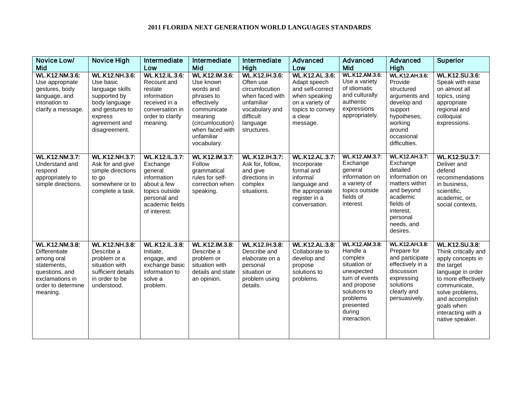| Novice Low/                                                                                                                                | <b>Novice High</b>                                                                                                                                     | Intermediate                                                                                                                                    | Intermediate                                                                                                                                                               | Intermediate                                                                                                                                     | Advanced                                                                                                                                        | Advanced                                                                                                                                                                | Advanced                                                                                                                                                                    | <b>Superior</b>                                                                                                                                                                                                                          |
|--------------------------------------------------------------------------------------------------------------------------------------------|--------------------------------------------------------------------------------------------------------------------------------------------------------|-------------------------------------------------------------------------------------------------------------------------------------------------|----------------------------------------------------------------------------------------------------------------------------------------------------------------------------|--------------------------------------------------------------------------------------------------------------------------------------------------|-------------------------------------------------------------------------------------------------------------------------------------------------|-------------------------------------------------------------------------------------------------------------------------------------------------------------------------|-----------------------------------------------------------------------------------------------------------------------------------------------------------------------------|------------------------------------------------------------------------------------------------------------------------------------------------------------------------------------------------------------------------------------------|
| <b>Mid</b><br>WL.K12.NM.3.6:<br>Use appropriate<br>gestures, body<br>language, and<br>intonation to<br>clarify a message.                  | <b>WL.K12.NH.3.6:</b><br>Use basic<br>language skills<br>supported by<br>body language<br>and gestures to<br>express<br>agreement and<br>disagreement. | Low<br><b>WL.K12.IL.3.6:</b><br>Recount and<br>restate<br>information<br>received in a<br>conversation in<br>order to clarify<br>meaning.       | Mid<br>WL.K12.IM.3.6:<br>Use known<br>words and<br>phrases to<br>effectively<br>communicate<br>meaning<br>(circumlocution)<br>when faced with<br>unfamiliar<br>vocabulary. | High<br>WL.K12.IH.3.6:<br>Often use<br>circumlocution<br>when faced with<br>unfamiliar<br>vocabulary and<br>difficult<br>language<br>structures. | Low<br><b>WL.K12.AL.3.6:</b><br>Adapt speech<br>and self-correct<br>when speaking<br>on a variety of<br>topics to convey<br>a clear<br>message. | <b>Mid</b><br>WL.K12.AM.3.6:<br>Use a variety<br>of idiomatic<br>and culturally<br>authentic<br>expressions<br>appropriately.                                           | High<br><b>WL.K12.AH.3.6:</b><br>Provide<br>structured<br>arguments and<br>develop and<br>support<br>hypotheses,<br>working<br>around<br>occasional<br>difficulties.        | <b>WL.K12.SU.3.6:</b><br>Speak with ease<br>on almost all<br>topics, using<br>appropriate<br>regional and<br>colloquial<br>expressions.                                                                                                  |
| <b>WL.K12.NM.3.7:</b><br>Understand and<br>respond<br>appropriately to<br>simple directions.                                               | <b>WL.K12.NH.3.7:</b><br>Ask for and give<br>simple directions<br>to go<br>somewhere or to<br>complete a task.                                         | <b>WL.K12.IL.3.7:</b><br>Exchange<br>general<br>information<br>about a few<br>topics outside<br>personal and<br>academic fields<br>of interest. | WL.K12.IM.3.7:<br>Follow<br>grammatical<br>rules for self-<br>correction when<br>speaking.                                                                                 | WL.K12.IH.3.7:<br>Ask for, follow,<br>and give<br>directions in<br>complex<br>situations.                                                        | <b>WL.K12.AL.3.7:</b><br>Incorporate<br>formal and<br>informal<br>language and<br>the appropriate<br>register in a<br>conversation.             | <b>WL.K12.AM.3.7:</b><br>Exchange<br>general<br>information on<br>a variety of<br>topics outside<br>fields of<br>interest.                                              | <b>WL.K12.AH.3.7:</b><br>Exchange<br>detailed<br>information on<br>matters within<br>and beyond<br>academic<br>fields of<br>interest,<br>personal<br>needs, and<br>desires. | <b>WL.K12.SU.3.7:</b><br>Deliver and<br>defend<br>recommendations<br>in business,<br>scientific,<br>academic, or<br>social contexts.                                                                                                     |
| <b>WL.K12.NM.3.8:</b><br>Differentiate<br>among oral<br>statements,<br>questions, and<br>exclamations in<br>order to determine<br>meaning. | <b>WL.K12.NH.3.8:</b><br>Describe a<br>problem or a<br>situation with<br>sufficient details<br>in order to be<br>understood.                           | <b>WL.K12.IL.3.8:</b><br>Initiate,<br>engage, and<br>exchange basic<br>information to<br>solve a<br>problem.                                    | WL.K12.IM.3.8:<br>Describe a<br>problem or<br>situation with<br>details and state<br>an opinion.                                                                           | <b>WL.K12.IH.3.8:</b><br>Describe and<br>elaborate on a<br>personal<br>situation or<br>problem using<br>details.                                 | <b>WL.K12.AL.3.8:</b><br>Collaborate to<br>develop and<br>propose<br>solutions to<br>problems.                                                  | WL.K12.AM.3.8:<br>Handle a<br>complex<br>situation or<br>unexpected<br>turn of events<br>and propose<br>solutions to<br>problems<br>presented<br>during<br>interaction. | <b>WL.K12.AH.3.8:</b><br>Prepare for<br>and participate<br>effectively in a<br>discussion<br>expressing<br>solutions<br>clearly and<br>persuasively.                        | <b>WL.K12.SU.3.8:</b><br>Think critically and<br>apply concepts in<br>the target<br>language in order<br>to more effectively<br>communicate,<br>solve problems,<br>and accomplish<br>goals when<br>interacting with a<br>native speaker. |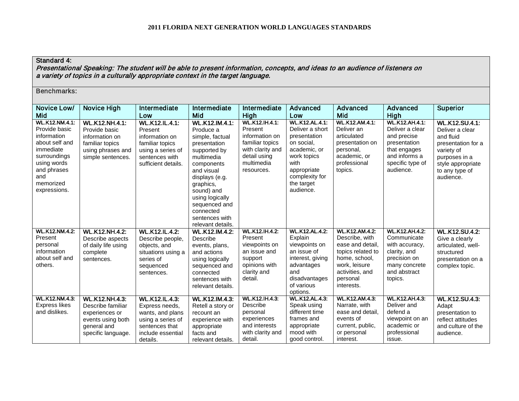# Standard 4:

Presentational Speaking: The student will be able to present information, concepts, and ideas to an audience of listeners on a variety of topics in a culturally appropriate context in the target language.

| Novice Low/                                                                                                                                                            | <b>Novice High</b>                                                                                                     | Intermediate                                                                                                                        | Intermediate                                                                                                                                                                                                                                                         | Intermediate                                                                                                                          | <b>Advanced</b>                                                                                                                                                           | Advanced                                                                                                                                                        | Advanced                                                                                                                                  | <b>Superior</b>                                                                                                                                                |
|------------------------------------------------------------------------------------------------------------------------------------------------------------------------|------------------------------------------------------------------------------------------------------------------------|-------------------------------------------------------------------------------------------------------------------------------------|----------------------------------------------------------------------------------------------------------------------------------------------------------------------------------------------------------------------------------------------------------------------|---------------------------------------------------------------------------------------------------------------------------------------|---------------------------------------------------------------------------------------------------------------------------------------------------------------------------|-----------------------------------------------------------------------------------------------------------------------------------------------------------------|-------------------------------------------------------------------------------------------------------------------------------------------|----------------------------------------------------------------------------------------------------------------------------------------------------------------|
| Mid                                                                                                                                                                    |                                                                                                                        | Low                                                                                                                                 | Mid                                                                                                                                                                                                                                                                  | High                                                                                                                                  | Low                                                                                                                                                                       | Mid                                                                                                                                                             | High                                                                                                                                      |                                                                                                                                                                |
| <b>WL.K12.NM.4.1:</b><br>Provide basic<br>information<br>about self and<br>immediate<br>surroundings<br>using words<br>and phrases<br>and<br>memorized<br>expressions. | <b>WL.K12.NH.4.1:</b><br>Provide basic<br>information on<br>familiar topics<br>using phrases and<br>simple sentences.  | <b>WL.K12.IL.4.1:</b><br>Present<br>information on<br>familiar topics<br>using a series of<br>sentences with<br>sufficient details. | <b>WL.K12.IM.4.1:</b><br>Produce a<br>simple, factual<br>presentation<br>supported by<br>multimedia<br>components<br>and visual<br>displays (e.g.<br>graphics,<br>sound) and<br>using logically<br>sequenced and<br>connected<br>sentences with<br>relevant details. | <b>WL.K12.IH.4.1:</b><br>Present<br>information on<br>familiar topics<br>with clarity and<br>detail using<br>multimedia<br>resources. | <b>WL.K12.AL.4.1:</b><br>Deliver a short<br>presentation<br>on social,<br>academic, or<br>work topics<br>with<br>appropriate<br>complexity for<br>the target<br>audience. | <b>WL.K12.AM.4.1:</b><br>Deliver an<br>articulated<br>presentation on<br>personal,<br>academic, or<br>professional<br>topics.                                   | <b>WL.K12.AH.4.1:</b><br>Deliver a clear<br>and precise<br>presentation<br>that engages<br>and informs a<br>specific type of<br>audience. | <b>WL.K12.SU.4.1:</b><br>Deliver a clear<br>and fluid<br>presentation for a<br>variety of<br>purposes in a<br>style appropriate<br>to any type of<br>audience. |
| <b>WL.K12.NM.4.2.</b><br>Present<br>personal<br>information<br>about self and<br>others.                                                                               | <b>WL.K12.NH.4.2:</b><br>Describe aspects<br>of daily life using<br>complete<br>sentences.                             | <b>WL.K12.IL.4.2:</b><br>Describe people,<br>objects, and<br>situations using a<br>series of<br>sequenced<br>sentences.             | <b>WL.K12.IM.4.2:</b><br>Describe<br>events, plans,<br>and actions<br>using logically<br>sequenced and<br>connected<br>sentences with<br>relevant details.                                                                                                           | <b>WL.K12.IH.4.2:</b><br>Present<br>viewpoints on<br>an issue and<br>support<br>opinions with<br>clarity and<br>detail.               | <b>WL.K12.AL.4.2:</b><br>Explain<br>viewpoints on<br>an issue of<br>interest, giving<br>advantages<br>and<br>disadvantages<br>of various<br>options.                      | <b>WL.K12.AM.4.2:</b><br>Describe, with<br>ease and detail,<br>topics related to<br>home, school,<br>work, leisure<br>activities, and<br>personal<br>interests. | <b>WL.K12.AH.4.2:</b><br>Communicate<br>with accuracy,<br>clarity, and<br>precision on<br>many concrete<br>and abstract<br>topics.        | <b>WL.K12.SU.4.2:</b><br>Give a clearly<br>articulated, well-<br>structured<br>presentation on a<br>complex topic.                                             |
| <b>WL.K12.NM.4.3:</b><br><b>Express likes</b><br>and dislikes.                                                                                                         | <b>WL.K12.NH.4.3:</b><br>Describe familiar<br>experiences or<br>events using both<br>general and<br>specific language. | <b>WL.K12.IL.4.3:</b><br>Express needs,<br>wants, and plans<br>using a series of<br>sentences that<br>include essential<br>details. | <b>WL.K12.IM.4.3:</b><br>Retell a story or<br>recount an<br>experience with<br>appropriate<br>facts and<br>relevant details.                                                                                                                                         | <b>WL.K12.IH.4.3:</b><br>Describe<br>personal<br>experiences<br>and interests<br>with clarity and<br>detail.                          | <b>WL.K12.AL.4.3:</b><br>Speak using<br>different time<br>frames and<br>appropriate<br>mood with<br>good control.                                                         | <b>WL.K12.AM.4.3:</b><br>Narrate, with<br>ease and detail.<br>events of<br>current, public,<br>or personal<br>interest.                                         | <b>WL.K12.AH.4.3:</b><br>Deliver and<br>defend a<br>viewpoint on an<br>academic or<br>professional<br>issue.                              | <b>WL.K12.SU.4.3:</b><br>Adapt<br>presentation to<br>reflect attitudes<br>and culture of the<br>audience.                                                      |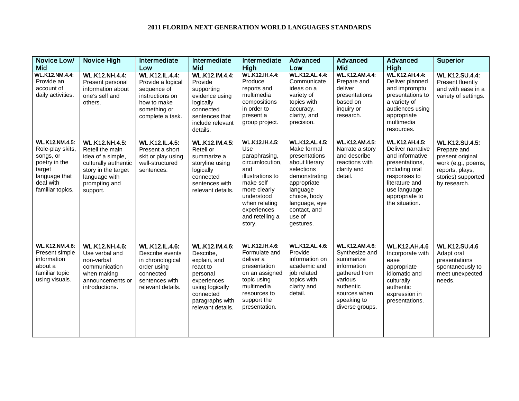| Novice Low/<br>Mid                                                                                                                  | <b>Novice High</b>                                                                                                                                         | Intermediate<br>Low                                                                                                             | Intermediate<br>Mid                                                                                                                                        | Intermediate<br>High                                                                                                                                                                                | Advanced<br>Low                                                                                                                                                                                           | Advanced<br>Mid                                                                                                                                                | Advanced<br>High                                                                                                                                                                        | <b>Superior</b>                                                                                                                         |
|-------------------------------------------------------------------------------------------------------------------------------------|------------------------------------------------------------------------------------------------------------------------------------------------------------|---------------------------------------------------------------------------------------------------------------------------------|------------------------------------------------------------------------------------------------------------------------------------------------------------|-----------------------------------------------------------------------------------------------------------------------------------------------------------------------------------------------------|-----------------------------------------------------------------------------------------------------------------------------------------------------------------------------------------------------------|----------------------------------------------------------------------------------------------------------------------------------------------------------------|-----------------------------------------------------------------------------------------------------------------------------------------------------------------------------------------|-----------------------------------------------------------------------------------------------------------------------------------------|
| <b>WL.K12.NM.4.4:</b><br>Provide an<br>account of<br>daily activities.                                                              | <b>WL.K12.NH.4.4:</b><br>Present personal<br>information about<br>one's self and<br>others.                                                                | <b>WL.K12.IL.4.4:</b><br>Provide a logical<br>sequence of<br>instructions on<br>how to make<br>something or<br>complete a task. | WL.K12.IM.4.4:<br>Provide<br>supporting<br>evidence using<br>logically<br>connected<br>sentences that<br>include relevant<br>details.                      | <b>WL.K12.IH.4.4:</b><br>Produce<br>reports and<br>multimedia<br>compositions<br>in order to<br>present a<br>group project.                                                                         | <b>WL.K12.AL.4.4:</b><br>Communicate<br>ideas on a<br>variety of<br>topics with<br>accuracy,<br>clarity, and<br>precision.                                                                                | <b>WL.K12.AM.4.4:</b><br>Prepare and<br>deliver<br>presentations<br>based on<br>inquiry or<br>research.                                                        | <b>WL.K12.AH.4.4:</b><br>Deliver planned<br>and impromptu<br>presentations to<br>a variety of<br>audiences using<br>appropriate<br>multimedia<br>resources.                             | <b>WL.K12.SU.4.4:</b><br>Present fluently<br>and with ease in a<br>variety of settings.                                                 |
| <b>WL.K12.NM.4.5:</b><br>Role-play skits,<br>songs, or<br>poetry in the<br>target<br>language that<br>deal with<br>familiar topics. | <b>WL.K12.NH.4.5:</b><br>Retell the main<br>idea of a simple,<br>culturally authentic<br>story in the target<br>language with<br>prompting and<br>support. | <b>WL.K12.IL.4.5:</b><br>Present a short<br>skit or play using<br>well-structured<br>sentences.                                 | <b>WL.K12.IM.4.5:</b><br>Retell or<br>summarize a<br>storyline using<br>logically<br>connected<br>sentences with<br>relevant details.                      | <b>WL.K12.IH.4.5:</b><br>Use<br>paraphrasing,<br>circumlocution,<br>and<br>illustrations to<br>make self<br>more clearly<br>understood<br>when relating<br>experiences<br>and retelling a<br>story. | <b>WL.K12.AL.4.5:</b><br>Make formal<br>presentations<br>about literary<br>selections<br>demonstrating<br>appropriate<br>language<br>choice, body<br>language, eye<br>contact, and<br>use of<br>gestures. | <b>WL.K12.AM.4.5:</b><br>Narrate a story<br>and describe<br>reactions with<br>clarity and<br>detail.                                                           | <b>WL.K12.AH.4.5:</b><br>Deliver narrative<br>and informative<br>presentations,<br>including oral<br>responses to<br>literature and<br>use language<br>appropriate to<br>the situation. | <b>WL.K12.SU.4.5:</b><br>Prepare and<br>present original<br>work (e.g., poems,<br>reports, plays,<br>stories) supported<br>by research. |
| <b>WL.K12.NM.4.6:</b><br>Present simple<br>information<br>about a<br>familiar topic<br>using visuals.                               | <b>WL.K12.NH.4.6:</b><br>Use verbal and<br>non-verbal<br>communication<br>when making<br>announcements or<br>introductions.                                | <b>WL.K12.IL.4.6:</b><br>Describe events<br>in chronological<br>order using<br>connected<br>sentences with<br>relevant details. | WL.K12.IM.4.6:<br>Describe,<br>explain, and<br>react to<br>personal<br>experiences<br>using logically<br>connected<br>paragraphs with<br>relevant details. | WL.K12.IH.4.6:<br>Formulate and<br>deliver a<br>presentation<br>on an assigned<br>topic using<br>multimedia<br>resources to<br>support the<br>presentation.                                         | <b>WL.K12.AL.4.6:</b><br>Provide<br>information on<br>academic and<br>job related<br>topics with<br>clarity and<br>detail.                                                                                | <b>WL.K12.AM.4.6:</b><br>Synthesize and<br>summarize<br>information<br>gathered from<br>various<br>authentic<br>sources when<br>speaking to<br>diverse groups. | <b>WL.K12.AH.4.6</b><br>Incorporate with<br>ease<br>appropriate<br>idiomatic and<br>culturally<br>authentic<br>expression in<br>presentations.                                          | <b>WL.K12.SU.4.6</b><br>Adapt oral<br>presentations<br>spontaneously to<br>meet unexpected<br>needs.                                    |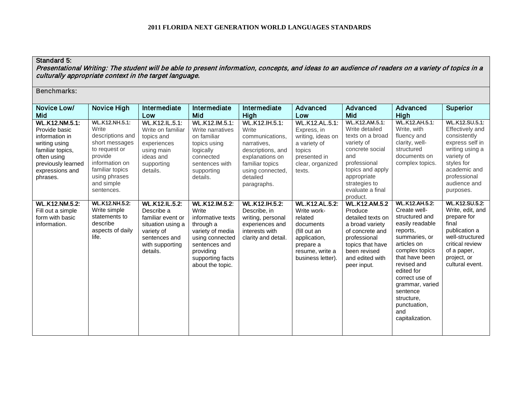# Standard 5:

Presentational Writing: The student will be able to present information, concepts, and ideas to an audience of readers on a variety of topics in a culturally appropriate context in the target language.

| Novice Low/<br>Mid                                                                                                                                                | Novice High                                                                                                                                                                        | Intermediate<br>Low                                                                                                                         | Intermediate<br>Mid                                                                                                                                                           | Intermediate<br>High                                                                                                                                                       | Advanced<br>Low                                                                                                                                   | Advanced<br>Mid                                                                                                                                                                                         | Advanced<br>High                                                                                                                                                                                                                                                                                 | <b>Superior</b>                                                                                                                                                                  |
|-------------------------------------------------------------------------------------------------------------------------------------------------------------------|------------------------------------------------------------------------------------------------------------------------------------------------------------------------------------|---------------------------------------------------------------------------------------------------------------------------------------------|-------------------------------------------------------------------------------------------------------------------------------------------------------------------------------|----------------------------------------------------------------------------------------------------------------------------------------------------------------------------|---------------------------------------------------------------------------------------------------------------------------------------------------|---------------------------------------------------------------------------------------------------------------------------------------------------------------------------------------------------------|--------------------------------------------------------------------------------------------------------------------------------------------------------------------------------------------------------------------------------------------------------------------------------------------------|----------------------------------------------------------------------------------------------------------------------------------------------------------------------------------|
| <b>WL.K12.NM.5.1:</b><br>Provide basic<br>information in<br>writing using<br>familiar topics,<br>often using<br>previously learned<br>expressions and<br>phrases. | <b>WL.K12.NH.5.1:</b><br>Write<br>descriptions and<br>short messages<br>to request or<br>provide<br>information on<br>familiar topics<br>using phrases<br>and simple<br>sentences. | <b>WL.K12.IL.5.1:</b><br>Write on familiar<br>topics and<br>experiences<br>using main<br>ideas and<br>supporting<br>details.                | WL.K12.IM.5.1:<br>Write narratives<br>on familiar<br>topics using<br>logically<br>connected<br>sentences with<br>supporting<br>details.                                       | <b>WL.K12.IH.5.1:</b><br>Write<br>communications.<br>narratives,<br>descriptions, and<br>explanations on<br>familiar topics<br>using connected,<br>detailed<br>paragraphs. | <b>WL.K12.AL.5.1:</b><br>Express, in<br>writing, ideas on<br>a variety of<br>topics<br>presented in<br>clear, organized<br>texts.                 | <b>WL.K12.AM.5.1:</b><br>Write detailed<br>texts on a broad<br>variety of<br>concrete social<br>and<br>professional<br>topics and apply<br>appropriate<br>strategies to<br>evaluate a final<br>product. | <b>WL.K12.AH.5.1:</b><br>Write, with<br>fluency and<br>clarity, well-<br>structured<br>documents on<br>complex topics.                                                                                                                                                                           | WL.K12.SU.5.1:<br>Effectively and<br>consistently<br>express self in<br>writing using a<br>variety of<br>styles for<br>academic and<br>professional<br>audience and<br>purposes. |
| <b>WL.K12.NM.5.2:</b><br>Fill out a simple<br>form with basic<br>information.                                                                                     | <b>WL.K12.NH.5.2</b><br>Write simple<br>statements to<br>describe<br>aspects of daily<br>life.                                                                                     | <b>WL.K12.IL.5.2:</b><br>Describe a<br>familiar event or<br>situation using a<br>variety of<br>sentences and<br>with supporting<br>details. | <b>WL.K12.IM.5.2:</b><br>Write<br>informative texts<br>through a<br>variety of media<br>using connected<br>sentences and<br>providing<br>supporting facts<br>about the topic. | <b>WL.K12.IH.5.2:</b><br>Describe, in<br>writing, personal<br>experiences and<br>interests with<br>clarity and detail.                                                     | <b>WL.K12.AL.5.2:</b><br>Write work-<br>related<br>documents<br>(fill out an<br>application,<br>prepare a<br>resume, write a<br>business letter). | <b>WL.K12.AM.5.2</b><br>Produce<br>detailed texts on<br>a broad variety<br>of concrete and<br>professional<br>topics that have<br>been revised<br>and edited with<br>peer input.                        | <b>WL.K12.AH.5.2:</b><br>Create well-<br>structured and<br>easily readable<br>reports,<br>summaries, or<br>articles on<br>complex topics<br>that have been<br>revised and<br>edited for<br>correct use of<br>grammar, varied<br>sentence<br>structure,<br>punctuation,<br>and<br>capitalization. | <b>WL.K12.SU.5.2</b><br>Write, edit, and<br>prepare for<br>final<br>publication a<br>well-structured<br>critical review<br>of a paper,<br>project, or<br>cultural event.         |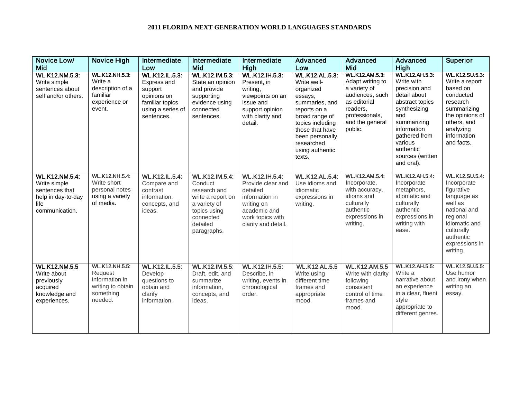| Novice Low/<br><b>Mid</b>                                                                               | <b>Novice High</b>                                                                              | Intermediate<br>Low                                                                                                  | Intermediate<br>Mid                                                                                                                    | Intermediate<br>High                                                                                                                              | Advanced<br>Low                                                                                                                                                                                                       | Advanced<br>Mid                                                                                                                                          | Advanced<br><b>High</b>                                                                                                                                                                                                 | <b>Superior</b>                                                                                                                                                                    |
|---------------------------------------------------------------------------------------------------------|-------------------------------------------------------------------------------------------------|----------------------------------------------------------------------------------------------------------------------|----------------------------------------------------------------------------------------------------------------------------------------|---------------------------------------------------------------------------------------------------------------------------------------------------|-----------------------------------------------------------------------------------------------------------------------------------------------------------------------------------------------------------------------|----------------------------------------------------------------------------------------------------------------------------------------------------------|-------------------------------------------------------------------------------------------------------------------------------------------------------------------------------------------------------------------------|------------------------------------------------------------------------------------------------------------------------------------------------------------------------------------|
| <b>WL.K12.NM.5.3:</b><br>Write simple<br>sentences about<br>self and/or others.                         | <b>WL.K12.NH.5.3:</b><br>Write a<br>description of a<br>familiar<br>experience or<br>event.     | <b>WL.K12.IL.5.3:</b><br>Express and<br>support<br>opinions on<br>familiar topics<br>using a series of<br>sentences. | WL.K12.IM.5.3:<br>State an opinion<br>and provide<br>supporting<br>evidence using<br>connected<br>sentences.                           | WL.K12.IH.5.3:<br>Present, in<br>writing.<br>viewpoints on an<br>issue and<br>support opinion<br>with clarity and<br>detail.                      | <b>WL.K12.AL.5.3:</b><br>Write well-<br>organized<br>essays,<br>summaries, and<br>reports on a<br>broad range of<br>topics including<br>those that have<br>been personally<br>researched<br>using authentic<br>texts. | <b>WL.K12.AM.5.3:</b><br>Adapt writing to<br>a variety of<br>audiences, such<br>as editorial<br>readers,<br>professionals,<br>and the general<br>public. | <b>WL.K12.AH.5.3:</b><br>Write with<br>precision and<br>detail about<br>abstract topics<br>synthesizing<br>and<br>summarizing<br>information<br>gathered from<br>various<br>authentic<br>sources (written<br>and oral). | <b>WL.K12.SU.5.3:</b><br>Write a report<br>based on<br>conducted<br>research<br>summarizing<br>the opinions of<br>others, and<br>analyzing<br>information<br>and facts.            |
| <b>WL.K12.NM.5.4:</b><br>Write simple<br>sentences that<br>help in day-to-day<br>life<br>communication. | <b>WL.K12.NH.5.4:</b><br>Write short<br>personal notes<br>using a variety<br>of media.          | <b>WL.K12.IL.5.4:</b><br>Compare and<br>contrast<br>information,<br>concepts, and<br>ideas.                          | WL.K12.IM.5.4:<br>Conduct<br>research and<br>write a report on<br>a variety of<br>topics using<br>connected<br>detailed<br>paragraphs. | <b>WL.K12.IH.5.4:</b><br>Provide clear and<br>detailed<br>information in<br>writing on<br>academic and<br>work topics with<br>clarity and detail. | <b>WL.K12.AL.5.4:</b><br>Use idioms and<br>idiomatic<br>expressions in<br>writing.                                                                                                                                    | <b>WL.K12.AM.5.4:</b><br>Incorporate,<br>with accuracy,<br>idioms and<br>culturally<br>authentic<br>expressions in<br>writing.                           | <b>WL.K12.AH.5.4:</b><br>Incorporate<br>metaphors,<br>idiomatic and<br>culturally<br>authentic<br>expressions in<br>writing with<br>ease.                                                                               | <b>WL.K12.SU.5.4:</b><br>Incorporate<br>figurative<br>language as<br>well as<br>national and<br>regional<br>idiomatic and<br>culturally<br>authentic<br>expressions in<br>writing. |
| <b>WL.K12.NM.5.5</b><br>Write about<br>previously<br>acquired<br>knowledge and<br>experiences.          | <b>WL.K12.NH.5.5:</b><br>Request<br>information in<br>writing to obtain<br>something<br>needed. | <b>WL.K12.IL.5.5:</b><br>Develop<br>questions to<br>obtain and<br>clarify<br>information.                            | WL.K12.IM.5.5:<br>Draft, edit, and<br>summarize<br>information,<br>concepts, and<br>ideas.                                             | <b>WL.K12.IH.5.5:</b><br>Describe, in<br>writing, events in<br>chronological<br>order.                                                            | <b>WL.K12.AL.5.5</b><br>Write using<br>different time<br>frames and<br>appropriate<br>mood.                                                                                                                           | <b>WL.K12.AM.5.5</b><br>Write with clarity<br>following<br>consistent<br>control of time<br>frames and<br>mood.                                          | <b>WL.K12.AH.5.5:</b><br>Write a<br>narrative about<br>an experience<br>in a clear, fluent<br>style<br>appropriate to<br>different genres.                                                                              | <b>WL.K12.SU.5.5:</b><br>Use humor<br>and irony when<br>writing an<br>essay.                                                                                                       |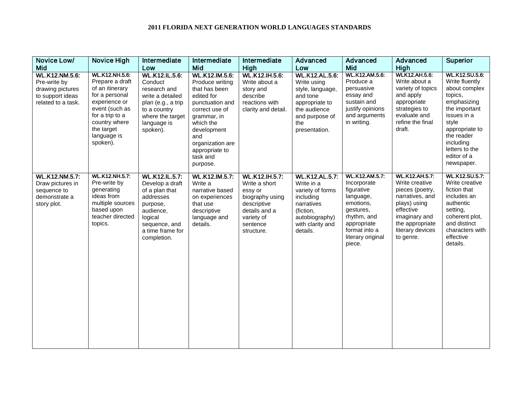| Novice Low/<br>Mid                                                                           | <b>Novice High</b>                                                                                                                                                                            | Intermediate<br>Low                                                                                                                                             | Intermediate<br>Mid                                                                                                                                                                                                   | Intermediate<br>High                                                                                                                         | Advanced<br>Low                                                                                                                                   | Advanced<br>Mid                                                                                                                                                         | Advanced<br>High                                                                                                                                                                | <b>Superior</b>                                                                                                                                                                                                  |
|----------------------------------------------------------------------------------------------|-----------------------------------------------------------------------------------------------------------------------------------------------------------------------------------------------|-----------------------------------------------------------------------------------------------------------------------------------------------------------------|-----------------------------------------------------------------------------------------------------------------------------------------------------------------------------------------------------------------------|----------------------------------------------------------------------------------------------------------------------------------------------|---------------------------------------------------------------------------------------------------------------------------------------------------|-------------------------------------------------------------------------------------------------------------------------------------------------------------------------|---------------------------------------------------------------------------------------------------------------------------------------------------------------------------------|------------------------------------------------------------------------------------------------------------------------------------------------------------------------------------------------------------------|
| WL.K12.NM.5.6:<br>Pre-write by<br>drawing pictures<br>to support ideas<br>related to a task. | <b>WL.K12.NH.5.6:</b><br>Prepare a draft<br>of an itinerary<br>for a personal<br>experience or<br>event (such as<br>for a trip to a<br>country where<br>the target<br>language is<br>spoken). | <b>WL.K12.IL.5.6:</b><br>Conduct<br>research and<br>write a detailed<br>plan (e.g., a trip<br>to a country<br>where the target<br>language is<br>spoken).       | WL.K12.IM.5.6:<br>Produce writing<br>that has been<br>edited for<br>punctuation and<br>correct use of<br>grammar, in<br>which the<br>development<br>and<br>organization are<br>appropriate to<br>task and<br>purpose. | WL.K12.IH.5.6:<br>Write about a<br>story and<br>describe<br>reactions with<br>clarity and detail.                                            | <b>WL.K12.AL.5.6:</b><br>Write using<br>style, language,<br>and tone<br>appropriate to<br>the audience<br>and purpose of<br>the<br>presentation.  | WL.K12.AM.5.6:<br>Produce a<br>persuasive<br>essay and<br>sustain and<br>justify opinions<br>and arguments<br>in writing.                                               | <b>WLK12.AH.5.6:</b><br>Write about a<br>variety of topics<br>and apply<br>appropriate<br>strategies to<br>evaluate and<br>refine the final<br>draft.                           | WL.K12.SU.5.6:<br>Write fluently<br>about complex<br>topics,<br>emphasizing<br>the important<br>issues in a<br>style<br>appropriate to<br>the reader<br>including<br>letters to the<br>editor of a<br>newspaper. |
| <b>WL.K12.NM.5.7:</b><br>Draw pictures in<br>sequence to<br>demonstrate a<br>story plot.     | <b>WL.K12.NH.5.7:</b><br>Pre-write by<br>generating<br>ideas from<br>multiple sources<br>based upon<br>teacher directed<br>topics.                                                            | <b>WL.K12.IL.5.7:</b><br>Develop a draft<br>of a plan that<br>addresses<br>purpose,<br>audience,<br>logical<br>sequence, and<br>a time frame for<br>completion. | WL.K12.IM.5.7:<br>Write a<br>narrative based<br>on experiences<br>that use<br>descriptive<br>language and<br>details.                                                                                                 | <b>WL.K12.IH.5.7:</b><br>Write a short<br>essy or<br>biography using<br>descriptive<br>details and a<br>variety of<br>sentence<br>structure. | <b>WL.K12.AL.5.7:</b><br>Write in a<br>variety of forms<br>including<br>narratives<br>(fiction,<br>autobiography)<br>with clarity and<br>details. | <b>WL.K12.AM.5.7:</b><br>Incorporate<br>figurative<br>language,<br>emotions,<br>gestures,<br>rhythm, and<br>appropriate<br>format into a<br>literary original<br>piece. | <b>WL.K12.AH.5.7:</b><br>Write creative<br>pieces (poetry,<br>narratives, and<br>plays) using<br>effective<br>imaginary and<br>the appropriate<br>literary devices<br>to genre. | WL.K12.SU.5.7:<br>Write creative<br>fiction that<br>includes an<br>authentic<br>setting,<br>coherent plot,<br>and distinct<br>characters with<br>effective<br>details.                                           |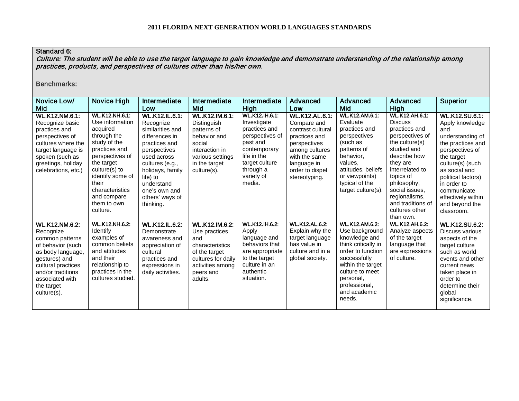### Standard 6:

Culture: The student will be able to use the target language to gain knowledge and demonstrate understanding of the relationship among practices, products, and perspectives of cultures other than his/her own.

| Novice Low/                                                                                                                                                                                                 | Novice High                                                                                                                                                                                                                                      | Intermediate                                                                                                                                                                                                                               | Intermediate                                                                                                                                 | Intermediate                                                                                                                                                               | Advanced                                                                                                                                                                         | Advanced                                                                                                                                                                                                             | Advanced                                                                                                                                                                                                                                                                          | <b>Superior</b>                                                                                                                                                                                                                                                   |
|-------------------------------------------------------------------------------------------------------------------------------------------------------------------------------------------------------------|--------------------------------------------------------------------------------------------------------------------------------------------------------------------------------------------------------------------------------------------------|--------------------------------------------------------------------------------------------------------------------------------------------------------------------------------------------------------------------------------------------|----------------------------------------------------------------------------------------------------------------------------------------------|----------------------------------------------------------------------------------------------------------------------------------------------------------------------------|----------------------------------------------------------------------------------------------------------------------------------------------------------------------------------|----------------------------------------------------------------------------------------------------------------------------------------------------------------------------------------------------------------------|-----------------------------------------------------------------------------------------------------------------------------------------------------------------------------------------------------------------------------------------------------------------------------------|-------------------------------------------------------------------------------------------------------------------------------------------------------------------------------------------------------------------------------------------------------------------|
| Mid                                                                                                                                                                                                         |                                                                                                                                                                                                                                                  | Low                                                                                                                                                                                                                                        | Mid                                                                                                                                          | High                                                                                                                                                                       | Low                                                                                                                                                                              | Mid                                                                                                                                                                                                                  | High                                                                                                                                                                                                                                                                              |                                                                                                                                                                                                                                                                   |
| <b>WL.K12.NM.6.1:</b><br>Recognize basic<br>practices and<br>perspectives of<br>cultures where the<br>target language is<br>spoken (such as<br>greetings, holiday<br>celebrations, etc.)                    | <b>WL.K12.NH.6.1:</b><br>Use information<br>acquired<br>through the<br>study of the<br>practices and<br>perspectives of<br>the target<br>culture(s) to<br>identify some of<br>their<br>characteristics<br>and compare<br>them to own<br>culture. | <b>WL.K12.IL.6.1:</b><br>Recognize<br>similarities and<br>differences in<br>practices and<br>perspectives<br>used across<br>cultures (e.g.,<br>holidays, family<br>life) to<br>understand<br>one's own and<br>others' ways of<br>thinking. | WL.K12.IM.6.1:<br>Distinguish<br>patterns of<br>behavior and<br>social<br>interaction in<br>various settings<br>in the target<br>culture(s). | <b>WL.K12.IH.6.1:</b><br>Investigate<br>practices and<br>perspectives of<br>past and<br>contemporary<br>life in the<br>target culture<br>through a<br>variety of<br>media. | <b>WL.K12.AL.6.1:</b><br>Compare and<br>contrast cultural<br>practices and<br>perspectives<br>among cultures<br>with the same<br>language in<br>order to dispel<br>stereotyping. | <b>WL.K12.AM.6.1:</b><br>Evaluate<br>practices and<br>perspectives<br>(such as<br>patterns of<br>behavior.<br>values.<br>attitudes, beliefs<br>or viewpoints)<br>typical of the<br>target culture(s).                | <b>WL.K12.AH.6.1:</b><br><b>Discuss</b><br>practices and<br>perspectives of<br>the culture $(s)$<br>studied and<br>describe how<br>they are<br>interrelated to<br>topics of<br>philosophy,<br>social issues.<br>regionalisms,<br>and traditions of<br>cultures other<br>than own. | WL.K12.SU.6.1:<br>Apply knowledge<br>and<br>understanding of<br>the practices and<br>perspectives of<br>the target<br>culture(s) (such<br>as social and<br>political factors)<br>in order to<br>communicate<br>effectively within<br>and beyond the<br>classroom. |
| <b>WL.K12.NM.6.2:</b><br>Recognize<br>common patterns<br>of behavior (such<br>as body language,<br>gestures) and<br>cultural practices<br>and/or traditions<br>associated with<br>the target<br>culture(s). | <b>WL.K12.NH.6.2:</b><br>Identify<br>examples of<br>common beliefs<br>and attitudes<br>and their<br>relationship to<br>practices in the<br>cultures studied.                                                                                     | <b>WL.K12.IL.6.2:</b><br>Demonstrate<br>awareness and<br>appreciation of<br>cultural<br>practices and<br>expressions in<br>daily activities.                                                                                               | WL.K12.IM.6.2:<br>Use practices<br>and<br>characteristics<br>of the target<br>cultures for daily<br>activities among<br>peers and<br>adults. | <b>WL.K12.IH.6.2:</b><br>Apply<br>language and<br>behaviors that<br>are appropriate<br>to the target<br>culture in an<br>authentic<br>situation.                           | <b>WL.K12.AL.6.2:</b><br>Explain why the<br>target language<br>has value in<br>culture and in a<br>global society.                                                               | <b>WL.K12.AM.6.2:</b><br>Use background<br>knowledge and<br>think critically in<br>order to function<br>successfully<br>within the target<br>culture to meet<br>personal,<br>professional,<br>and academic<br>needs. | <b>WL.K12.AH.6.2:</b><br>Analyze aspects<br>of the target<br>language that<br>are expressions<br>of culture.                                                                                                                                                                      | <b>WL.K12.SU.6.2:</b><br>Discuss various<br>aspects of the<br>target culture<br>such as world<br>events and other<br>current news<br>taken place in<br>order to<br>determine their<br>global<br>significance.                                                     |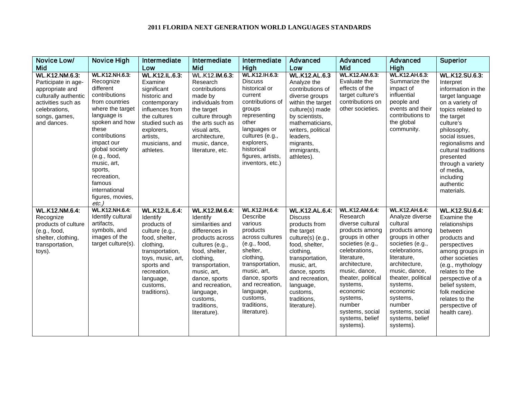| Novice Low/                                                                                                                                                    | <b>Novice High</b>                                                                                                                                                                                                                                                                                                    | Intermediate                                                                                                                                                                                                    | Intermediate                                                                                                                                                                                                                                                        | Intermediate                                                                                                                                                                                                                                | Advanced                                                                                                                                                                                                                                                 | Advanced                                                                                                                                                                                                                                                                                         | <b>Advanced</b>                                                                                                                                                                                                                                                                                        | <b>Superior</b>                                                                                                                                                                                                                                                                                                   |
|----------------------------------------------------------------------------------------------------------------------------------------------------------------|-----------------------------------------------------------------------------------------------------------------------------------------------------------------------------------------------------------------------------------------------------------------------------------------------------------------------|-----------------------------------------------------------------------------------------------------------------------------------------------------------------------------------------------------------------|---------------------------------------------------------------------------------------------------------------------------------------------------------------------------------------------------------------------------------------------------------------------|---------------------------------------------------------------------------------------------------------------------------------------------------------------------------------------------------------------------------------------------|----------------------------------------------------------------------------------------------------------------------------------------------------------------------------------------------------------------------------------------------------------|--------------------------------------------------------------------------------------------------------------------------------------------------------------------------------------------------------------------------------------------------------------------------------------------------|--------------------------------------------------------------------------------------------------------------------------------------------------------------------------------------------------------------------------------------------------------------------------------------------------------|-------------------------------------------------------------------------------------------------------------------------------------------------------------------------------------------------------------------------------------------------------------------------------------------------------------------|
| Mid                                                                                                                                                            |                                                                                                                                                                                                                                                                                                                       | Low                                                                                                                                                                                                             | Mid                                                                                                                                                                                                                                                                 | High                                                                                                                                                                                                                                        | Low                                                                                                                                                                                                                                                      | Mid                                                                                                                                                                                                                                                                                              | <b>High</b>                                                                                                                                                                                                                                                                                            |                                                                                                                                                                                                                                                                                                                   |
| <b>WL.K12.NM.6.3:</b><br>Participate in age-<br>appropriate and<br>culturally authentic<br>activities such as<br>celebrations,<br>songs, games,<br>and dances. | <b>WL.K12.NH.6.3:</b><br>Recognize<br>different<br>contributions<br>from countries<br>where the target<br>language is<br>spoken and how<br>these<br>contributions<br>impact our<br>global society<br>(e.g., food,<br>music, art,<br>sports,<br>recreation,<br>famous<br>international<br>figures, movies,<br>$etc.$ ) | WL.K12.IL.6.3:<br>Examine<br>significant<br>historic and<br>contemporary<br>influences from<br>the cultures<br>studied such as<br>explorers,<br>artists,<br>musicians, and<br>athletes.                         | WL.K12.IM.6.3:<br>Research<br>contributions<br>made by<br>individuals from<br>the target<br>culture through<br>the arts such as<br>visual arts,<br>architecture,<br>music, dance,<br>literature, etc.                                                               | WL.K12.IH.6.3:<br><b>Discuss</b><br>historical or<br>current<br>contributions of<br>groups<br>representing<br>other<br>languages or<br>cultures (e.g.,<br>explorers.<br>historical<br>figures, artists,<br>inventors, etc.)                 | <b>WL.K12.AL.6.3</b><br>Analyze the<br>contributions of<br>diverse groups<br>within the target<br>culture(s) made<br>by scientists,<br>mathematicians,<br>writers, political<br>leaders.<br>migrants,<br>immigrants,<br>athletes).                       | WL.K12.AM.6.3:<br>Evaluate the<br>effects of the<br>target culture's<br>contributions on<br>other societies.                                                                                                                                                                                     | <b>WL.K12.AH.6.3</b><br>Summarize the<br>impact of<br>influential<br>people and<br>events and their<br>contributions to<br>the global<br>community.                                                                                                                                                    | <b>WL.K12.SU.6.3:</b><br>Interpret<br>information in the<br>target language<br>on a variety of<br>topics related to<br>the target<br>culture's<br>philosophy,<br>social issues,<br>regionalisms and<br>cultural traditions<br>presented<br>through a variety<br>of media,<br>including<br>authentic<br>materials. |
| <b>WL.K12.NM.6.4:</b><br>Recognize<br>products of culture<br>(e.g., food,<br>shelter, clothing,<br>transportation,<br>toys).                                   | WL.K12.NH.6.4:<br>Identify cultural<br>artifacts,<br>symbols, and<br>images of the<br>target culture(s).                                                                                                                                                                                                              | <b>WL.K12.IL.6.4:</b><br>Identify<br>products of<br>culture (e.g.,<br>food, shelter,<br>clothing,<br>transportation,<br>toys, music, art,<br>sports and<br>recreation,<br>language,<br>customs.<br>traditions). | WL.K12.IM.6.4:<br>Identify<br>similarities and<br>differences in<br>products across<br>cultures (e.g.,<br>food, shelter,<br>clothing,<br>transportation,<br>music, art,<br>dance, sports<br>and recreation.<br>language,<br>customs.<br>traditions,<br>literature). | WL.K12.IH.6.4:<br>Describe<br>various<br>products<br>across cultures<br>(e.g., food,<br>shelter,<br>clothing,<br>transportation,<br>music, art,<br>dance, sports<br>and recreation.<br>language,<br>customs,<br>traditions,<br>literature). | <b>WL.K12.AL.6.4:</b><br><b>Discuss</b><br>products from<br>the target<br>culture(s) (e.g.,<br>food, shelter,<br>clothing,<br>transportation,<br>music, art,<br>dance, sports<br>and recreation,<br>language,<br>customs,<br>traditions,<br>literature). | WL.K12.AM.6.4:<br>Research<br>diverse cultural<br>products among<br>groups in other<br>societies (e.g.,<br>celebrations,<br>literature.<br>architecture,<br>music, dance,<br>theater, political<br>systems,<br>economic<br>systems,<br>number<br>systems, social<br>systems, belief<br>systems). | <b>WL.K12.AH.6.4:</b><br>Analyze diverse<br>cultural<br>products among<br>groups in other<br>societies (e.g.,<br>celebrations,<br>literature.<br>architecture,<br>music, dance,<br>theater, political<br>systems,<br>economic<br>systems,<br>number<br>systems, social<br>systems, belief<br>systems). | <b>WL.K12.SU.6.4:</b><br>Examine the<br>relationships<br>between<br>products and<br>perspectives<br>among groups in<br>other societies<br>(e.g., mythology<br>relates to the<br>perspective of a<br>belief system,<br>folk medicine<br>relates to the<br>perspective of<br>health care).                          |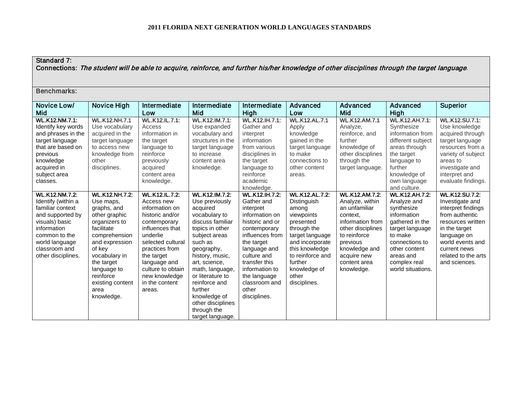# Standard 7:

Connections: The student will be able to acquire, reinforce, and further his/her knowledge of other disciplines through the target language.

| Novice Low/                                                                                                                                                                                    | Novice High                                                                                                                                                                                                                                         | Intermediate                                                                                                                                                                                                                                                   | Intermediate                                                                                                                                                                                                                                                                                                                         | Intermediate                                                                                                                                                                                                                                                       | Advanced                                                                                                                                                                                                                       | Advanced                                                                                                                                                                                                 | Advanced                                                                                                                                                                                                | <b>Superior</b>                                                                                                                                                                                                   |
|------------------------------------------------------------------------------------------------------------------------------------------------------------------------------------------------|-----------------------------------------------------------------------------------------------------------------------------------------------------------------------------------------------------------------------------------------------------|----------------------------------------------------------------------------------------------------------------------------------------------------------------------------------------------------------------------------------------------------------------|--------------------------------------------------------------------------------------------------------------------------------------------------------------------------------------------------------------------------------------------------------------------------------------------------------------------------------------|--------------------------------------------------------------------------------------------------------------------------------------------------------------------------------------------------------------------------------------------------------------------|--------------------------------------------------------------------------------------------------------------------------------------------------------------------------------------------------------------------------------|----------------------------------------------------------------------------------------------------------------------------------------------------------------------------------------------------------|---------------------------------------------------------------------------------------------------------------------------------------------------------------------------------------------------------|-------------------------------------------------------------------------------------------------------------------------------------------------------------------------------------------------------------------|
| Mid                                                                                                                                                                                            |                                                                                                                                                                                                                                                     | Low                                                                                                                                                                                                                                                            | Mid                                                                                                                                                                                                                                                                                                                                  | High                                                                                                                                                                                                                                                               | Low                                                                                                                                                                                                                            | Mid                                                                                                                                                                                                      | High                                                                                                                                                                                                    |                                                                                                                                                                                                                   |
| <b>WL.K12.NM.7.1:</b><br>Identify key words<br>and phrases in the<br>target language<br>that are based on<br>previous<br>knowledge<br>acquired in<br>subject area<br>classes.                  | <b>WL.K12.NH.7.1</b><br>Use vocabulary<br>acquired in the<br>target language<br>to access new<br>knowledge from<br>other<br>disciplines.                                                                                                            | <b>WL.K12.IL.7.1:</b><br>Access<br>information in<br>the target<br>language to<br>reinforce<br>previously<br>acquired<br>content area<br>knowledge.                                                                                                            | WL.K12.IM.7.1:<br>Use expanded<br>vocabulary and<br>structures in the<br>target language<br>to increase<br>content area<br>knowledge.                                                                                                                                                                                                | WL.K12.IH.7.1:<br>Gather and<br>interpret<br>information<br>from various<br>disciplines in<br>the target<br>language to<br>reinforce<br>academic<br>knowledge.                                                                                                     | <b>WL.K12.AL.7.1</b><br>Apply<br>knowledge<br>gained in the<br>target language<br>to make<br>connections to<br>other content<br>areas.                                                                                         | <b>WL.K12.AM.7.1</b><br>Analyze,<br>reinforce, and<br>further<br>knowledge of<br>other disciplines<br>through the<br>target language.                                                                    | WL.K12.AH.7.1:<br>Synthesize<br>information from<br>different subject<br>areas through<br>the target<br>language to<br>further<br>knowledge of<br>own language<br>and culture.                          | WL.K12.SU.7.1:<br>Use knowledge<br>acquired through<br>target language<br>resources from a<br>variety of subject<br>areas to<br>investigate and<br>interpret and<br>evaluate findings.                            |
| <b>WL.K12.NM.7.2:</b><br>Identify (within a<br>familiar context<br>and supported by<br>visuals) basic<br>information<br>common to the<br>world language<br>classroom and<br>other disciplines. | <b>WL.K12.NH.7.2:</b><br>Use maps,<br>graphs, and<br>other graphic<br>organizers to<br>facilitate<br>comprehension<br>and expression<br>of key<br>vocabulary in<br>the target<br>language to<br>reinforce<br>existing content<br>area<br>knowledge. | <b>WL.K12.IL.7.2:</b><br>Access new<br>information on<br>historic and/or<br>contemporary<br>influences that<br>underlie<br>selected cultural<br>practices from<br>the target<br>language and<br>culture to obtain<br>new knowledge<br>in the content<br>areas. | <b>WL.K12.IM.7.2:</b><br>Use previously<br>acquired<br>vocabulary to<br>discuss familiar<br>topics in other<br>subject areas<br>such as<br>geography,<br>history, music,<br>art, science,<br>math, language,<br>or literature to<br>reinforce and<br>further<br>knowledge of<br>other disciplines<br>through the<br>target language. | <b>WL.K12.IH.7.2:</b><br>Gather and<br>interpret<br>information on<br>historic and or<br>contemporary<br>influences from<br>the target<br>language and<br>culture and<br>transfer this<br>information to<br>the language<br>classroom and<br>other<br>disciplines. | <b>WL.K12.AL.7.2:</b><br><b>Distinguish</b><br>among<br>viewpoints<br>presented<br>through the<br>target language<br>and incorporate<br>this knowledge<br>to reinforce and<br>further<br>knowledge of<br>other<br>disciplines. | <b>WL.K12.AM.7.2:</b><br>Analyze, within<br>an unfamiliar<br>context.<br>information from<br>other disciplines<br>to reinforce<br>previous<br>knowledge and<br>acquire new<br>content area<br>knowledge. | <b>WL.K12.AH.7.2:</b><br>Analyze and<br>synthesize<br>information<br>gathered in the<br>target language<br>to make<br>connections to<br>other content<br>areas and<br>complex real<br>world situations. | <b>WL.K12.SU.7.2:</b><br>Investigate and<br>interpret findings<br>from authentic<br>resources written<br>in the target<br>language on<br>world events and<br>current news<br>related to the arts<br>and sciences. |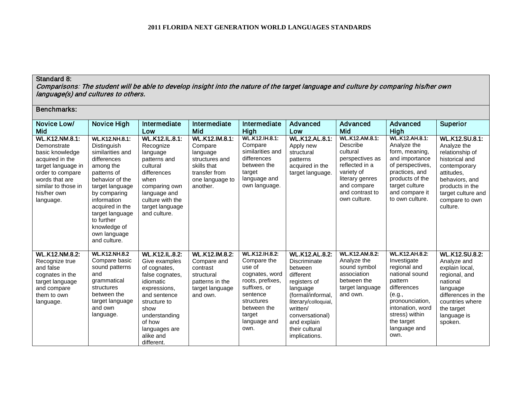## Standard 8:

Comparisons: The student will be able to develop insight into the nature of the target language and culture by comparing his/her own language(s) and cultures to others.

| <b>Benchmarks:</b>                                                                                                                                                                        |                                                                                                                                                                                                                                                                              |                                                                                                                                                                                                                       |                                                                                                                        |                                                                                                                                                                                 |                                                                                                                                                                                                                         |                                                                                                                                                                       |                                                                                                                                                                                                           |                                                                                                                                                                                                  |
|-------------------------------------------------------------------------------------------------------------------------------------------------------------------------------------------|------------------------------------------------------------------------------------------------------------------------------------------------------------------------------------------------------------------------------------------------------------------------------|-----------------------------------------------------------------------------------------------------------------------------------------------------------------------------------------------------------------------|------------------------------------------------------------------------------------------------------------------------|---------------------------------------------------------------------------------------------------------------------------------------------------------------------------------|-------------------------------------------------------------------------------------------------------------------------------------------------------------------------------------------------------------------------|-----------------------------------------------------------------------------------------------------------------------------------------------------------------------|-----------------------------------------------------------------------------------------------------------------------------------------------------------------------------------------------------------|--------------------------------------------------------------------------------------------------------------------------------------------------------------------------------------------------|
| Novice Low/<br>Mid                                                                                                                                                                        | Novice High                                                                                                                                                                                                                                                                  | Intermediate<br>Low                                                                                                                                                                                                   | Intermediate<br>Mid                                                                                                    | Intermediate<br>High                                                                                                                                                            | Advanced<br>Low                                                                                                                                                                                                         | Advanced<br>Mid                                                                                                                                                       | Advanced<br>High                                                                                                                                                                                          | <b>Superior</b>                                                                                                                                                                                  |
| <b>WL.K12.NM.8.1:</b><br>Demonstrate<br>basic knowledge<br>acquired in the<br>target language in<br>order to compare<br>words that are<br>similar to those in<br>his/her own<br>language. | <b>WL.K12.NH.8.1:</b><br>Distinguish<br>similarities and<br>differences<br>among the<br>patterns of<br>behavior of the<br>target language<br>by comparing<br>information<br>acquired in the<br>target language<br>to further<br>knowledge of<br>own language<br>and culture. | <b>WL.K12.IL.8.1:</b><br>Recognize<br>language<br>patterns and<br>cultural<br>differences<br>when<br>comparing own<br>language and<br>culture with the<br>target language<br>and culture.                             | WL.K12.IM.8.1:<br>Compare<br>language<br>structures and<br>skills that<br>transfer from<br>one language to<br>another. | <b>WL.K12.IH.8.1:</b><br>Compare<br>similarities and<br>differences<br>between the<br>target<br>language and<br>own language.                                                   | <b>WL.K12.AL.8.1:</b><br>Apply new<br>structural<br>patterns<br>acquired in the<br>target language.                                                                                                                     | <b>WL.K12.AM.8.1:</b><br>Describe<br>cultural<br>perspectives as<br>reflected in a<br>variety of<br>literary genres<br>and compare<br>and contrast to<br>own culture. | <b>WL.K12.AH.8.1:</b><br>Analyze the<br>form, meaning,<br>and importance<br>of perspectives,<br>practices, and<br>products of the<br>target culture<br>and compare it<br>to own culture.                  | <b>WL.K12.SU.8.1:</b><br>Analyze the<br>relationship of<br>historical and<br>contemporary<br>attitudes,<br>behaviors, and<br>products in the<br>target culture and<br>compare to own<br>culture. |
| <b>WL.K12.NM.8.2:</b><br>Recognize true<br>and false<br>cognates in the<br>target language<br>and compare<br>them to own<br>language.                                                     | <b>WL.K12.NH.8.2</b><br>Compare basic<br>sound patterns<br>and<br>grammatical<br>structures<br>between the<br>target language<br>and own<br>language.                                                                                                                        | <b>WL.K12.IL.8.2:</b><br>Give examples<br>of cognates,<br>false cognates,<br>idiomatic<br>expressions,<br>and sentence<br>structure to<br>show<br>understanding<br>of how<br>languages are<br>alike and<br>different. | WL.K12.IM.8.2:<br>Compare and<br>contrast<br>structural<br>patterns in the<br>target language<br>and own.              | <b>WL.K12.IH.8.2:</b><br>Compare the<br>use of<br>cognates, word<br>roots, prefixes,<br>suffixes, or<br>sentence<br>structures<br>between the<br>target<br>language and<br>own. | <b>WL.K12.AL.8.2:</b><br>Discriminate<br>between<br>different<br>registers of<br>language<br>(formal/informal,<br>literary/colloquial,<br>written/<br>conversational)<br>and explain<br>their cultural<br>implications. | <b>WL.K12.AM.8.2:</b><br>Analyze the<br>sound symbol<br>association<br>between the<br>target language<br>and own.                                                     | <b>WL.K12.AH.8.2:</b><br>Investigate<br>regional and<br>national sound<br>pattern<br>differences<br>(e.g.,<br>pronounciation,<br>intonation, word<br>stress) within<br>the target<br>language and<br>own. | <b>WL.K12.SU.8.2:</b><br>Analyze and<br>explain local,<br>regional, and<br>national<br>language<br>differences in the<br>countries where<br>the target<br>language is<br>spoken.                 |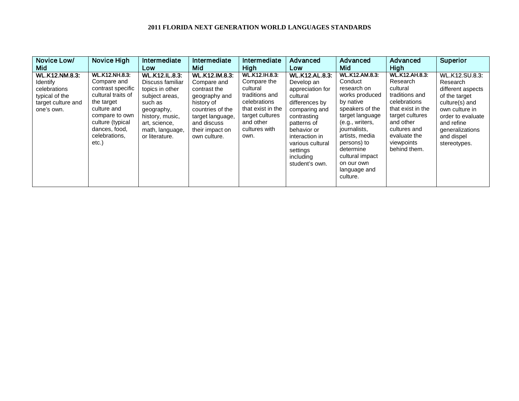| Novice Low/                                                                                                    | <b>Novice High</b>                                                                                                                                                                            | Intermediate                                                                                                                                                                     | Intermediate                                                                                                                                                                  | Intermediate                                                                                                                                                    | <b>Advanced</b>                                                                                                                                                                                                                      | Advanced                                                                                                                                                                                                                                                           | Advanced                                                                                                                                                                                           | Superior                                                                                                                                                                                        |
|----------------------------------------------------------------------------------------------------------------|-----------------------------------------------------------------------------------------------------------------------------------------------------------------------------------------------|----------------------------------------------------------------------------------------------------------------------------------------------------------------------------------|-------------------------------------------------------------------------------------------------------------------------------------------------------------------------------|-----------------------------------------------------------------------------------------------------------------------------------------------------------------|--------------------------------------------------------------------------------------------------------------------------------------------------------------------------------------------------------------------------------------|--------------------------------------------------------------------------------------------------------------------------------------------------------------------------------------------------------------------------------------------------------------------|----------------------------------------------------------------------------------------------------------------------------------------------------------------------------------------------------|-------------------------------------------------------------------------------------------------------------------------------------------------------------------------------------------------|
| Mid                                                                                                            |                                                                                                                                                                                               | Low                                                                                                                                                                              | Mid                                                                                                                                                                           | High                                                                                                                                                            | Low                                                                                                                                                                                                                                  | Mid                                                                                                                                                                                                                                                                | <b>High</b>                                                                                                                                                                                        |                                                                                                                                                                                                 |
| <b>WL.K12.NM.8.3:</b><br><b>Identify</b><br>celebrations<br>typical of the<br>target culture and<br>one's own. | <b>WL.K12.NH.8.3:</b><br>Compare and<br>contrast specific<br>cultural traits of<br>the target<br>culture and<br>compare to own<br>culture (typical<br>dances, food,<br>celebrations,<br>etc.) | <b>WL.K12.IL.8.3:</b><br>Discuss familiar<br>topics in other<br>subject areas.<br>such as<br>geography,<br>history, music,<br>art, science,<br>math, language,<br>or literature. | <b>WL.K12.IM.8.3:</b><br>Compare and<br>contrast the<br>geography and<br>history of<br>countries of the<br>target language,<br>and discuss<br>their impact on<br>own culture. | <b>WL.K12.IH.8.3</b><br>Compare the<br>cultural<br>traditions and<br>celebrations<br>that exist in the<br>target cultures<br>and other<br>cultures with<br>own. | <b>WL.K12.AL.8.3:</b><br>Develop an<br>appreciation for<br>cultural<br>differences by<br>comparing and<br>contrasting<br>patterns of<br>behavior or<br>interaction in<br>various cultural<br>settings<br>including<br>student's own. | <b>WL.K12.AM.8.3:</b><br>Conduct<br>research on<br>works produced<br>by native<br>speakers of the<br>target language<br>(e.g., writers,<br>journalists,<br>artists, media<br>persons) to<br>determine<br>cultural impact<br>on our own<br>language and<br>culture. | <b>WL.K12.AH.8.3:</b><br>Research<br>cultural<br>traditions and<br>celebrations<br>that exist in the<br>target cultures<br>and other<br>cultures and<br>evaluate the<br>viewpoints<br>behind them. | <b>WL.K12.SU.8.3:</b><br>Research<br>different aspects<br>of the target<br>culture(s) and<br>own culture in<br>order to evaluate<br>and refine<br>generalizations<br>and dispel<br>stereotypes. |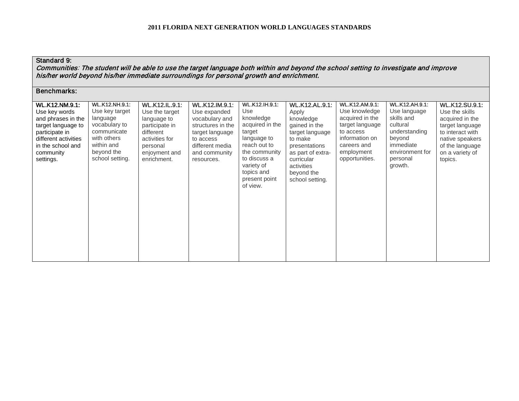# Standard 9:

Communities: The student will be able to use the target language both within and beyond the school setting to investigate and improve his/her world beyond his/her immediate surroundings for personal growth and enrichment.

| <b>WL.K12.NM.9.1:</b><br>Use key words<br>and phrases in the<br>target language to<br>participate in<br>different activities<br>in the school and<br>community<br>settings. | <b>WL.K12.NH.9.1:</b><br>Use key target<br>language<br>vocabulary to<br>communicate<br>with others<br>within and<br>beyond the<br>school setting. | WL.K12.IL.9.1:<br>Use the target<br>language to<br>participate in<br>different<br>activities for<br>personal<br>enjoyment and<br>enrichment. | WL.K12.IM.9.1:<br>Use expanded<br>vocabulary and<br>structures in the<br>target language<br>to access<br>different media<br>and community<br>resources. | <b>WL.K12.IH.9.1:</b><br>Use<br>knowledge<br>acquired in the<br>target<br>language to<br>reach out to<br>the community<br>to discuss a<br>variety of<br>topics and<br>present point<br>of view. | <b>WL.K12.AL.9.1:</b><br>Apply<br>knowledge<br>gained in the<br>target language<br>to make<br>presentations<br>as part of extra-<br>curricular<br>activities<br>beyond the<br>school setting. | WL.K12.AM.9.1:<br>Use knowledge<br>acquired in the<br>target language<br>to access<br>information on<br>careers and<br>employment<br>opportunities. | WL.K12.AH.9.1:<br>Use language<br>skills and<br>cultural<br>understanding<br>beyond<br>immediate<br>environment for<br>personal<br>growth. | WL.K12.SU.9.1:<br>Use the skills<br>acquired in the<br>target language<br>to interact with<br>native speakers<br>of the language<br>on a variety of<br>topics. |
|-----------------------------------------------------------------------------------------------------------------------------------------------------------------------------|---------------------------------------------------------------------------------------------------------------------------------------------------|----------------------------------------------------------------------------------------------------------------------------------------------|---------------------------------------------------------------------------------------------------------------------------------------------------------|-------------------------------------------------------------------------------------------------------------------------------------------------------------------------------------------------|-----------------------------------------------------------------------------------------------------------------------------------------------------------------------------------------------|-----------------------------------------------------------------------------------------------------------------------------------------------------|--------------------------------------------------------------------------------------------------------------------------------------------|----------------------------------------------------------------------------------------------------------------------------------------------------------------|